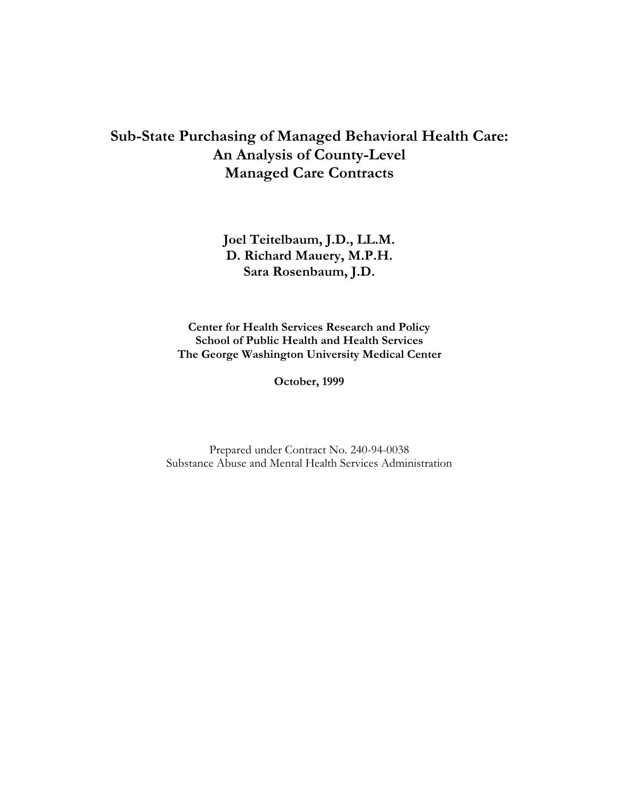## **Sub-State Purchasing of Managed Behavioral Health Care: An Analysis of County-Level Managed Care Contracts**

**Joel Teitelbaum, J.D., LL.M. D. Richard Mauery, M.P.H. Sara Rosenbaum, J.D.**

**Center for Health Services Research and Policy School of Public Health and Health Services The George Washington University Medical Center**

**October, 1999**

Prepared under Contract No. 240-94-0038 Substance Abuse and Mental Health Services Administration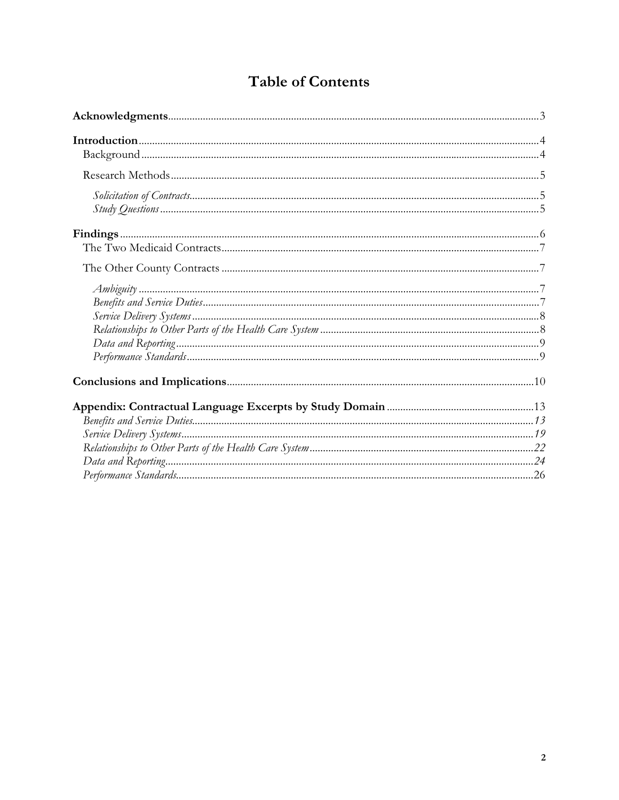# **Table of Contents**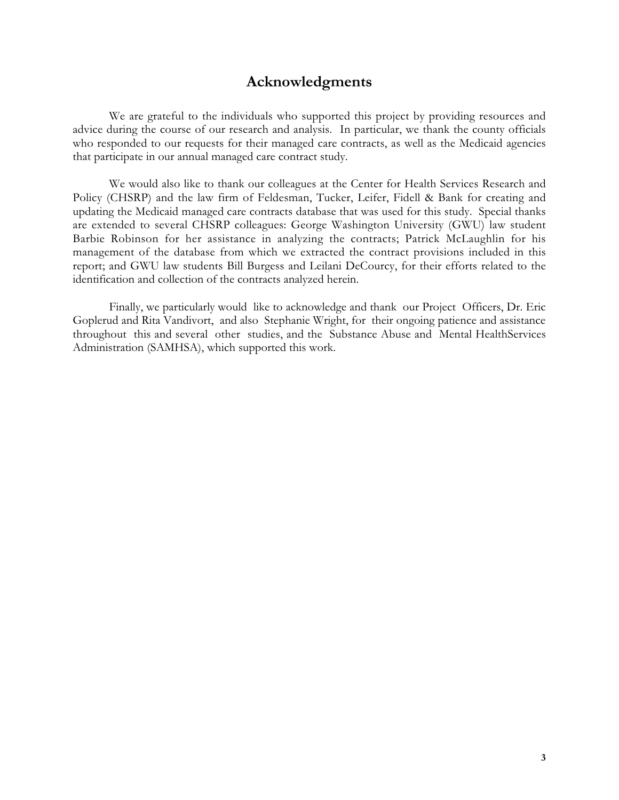## **Acknowledgments**

We are grateful to the individuals who supported this project by providing resources and advice during the course of our research and analysis. In particular, we thank the county officials who responded to our requests for their managed care contracts, as well as the Medicaid agencies that participate in our annual managed care contract study.

We would also like to thank our colleagues at the Center for Health Services Research and Policy (CHSRP) and the law firm of Feldesman, Tucker, Leifer, Fidell & Bank for creating and updating the Medicaid managed care contracts database that was used for this study. Special thanks are extended to several CHSRP colleagues: George Washington University (GWU) law student Barbie Robinson for her assistance in analyzing the contracts; Patrick McLaughlin for his management of the database from which we extracted the contract provisions included in this report; and GWU law students Bill Burgess and Leilani DeCourcy, for their efforts related to the identification and collection of the contracts analyzed herein.

Finally, we particularly would like to acknowledge and thank our Project Officers, Dr. Eric Goplerud and Rita Vandivort, and also Stephanie Wright, for their ongoing patience and assistance throughout this and several other studies, and the Substance Abuse and Mental HealthServices Administration (SAMHSA), which supported this work.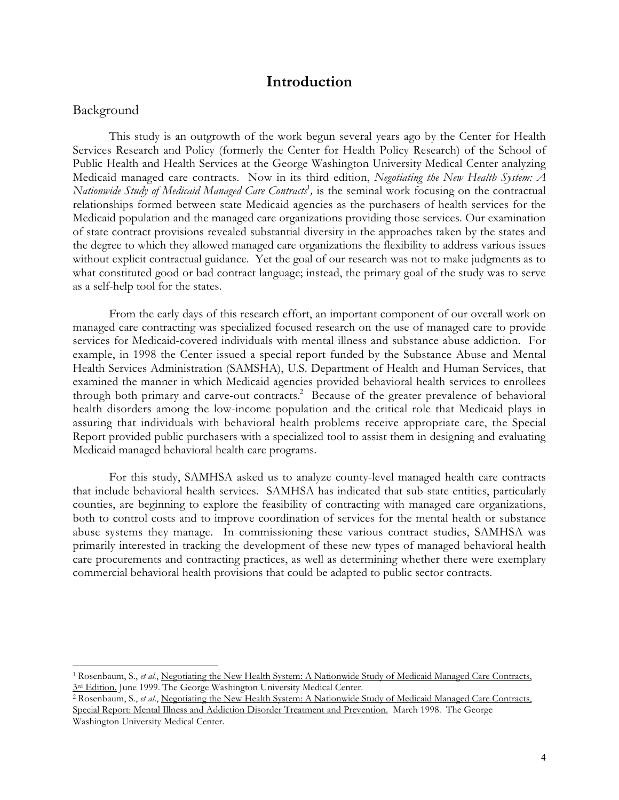## **Introduction**

### Background

֦

This study is an outgrowth of the work begun several years ago by the Center for Health Services Research and Policy (formerly the Center for Health Policy Research) of the School of Public Health and Health Services at the George Washington University Medical Center analyzing Medicaid managed care contracts. Now in its third edition, *Negotiating the New Health System: A Nationwide Study of Medicaid Managed Care Contracts*<sup>1</sup> *,* is the seminal work focusing on the contractual relationships formed between state Medicaid agencies as the purchasers of health services for the Medicaid population and the managed care organizations providing those services. Our examination of state contract provisions revealed substantial diversity in the approaches taken by the states and the degree to which they allowed managed care organizations the flexibility to address various issues without explicit contractual guidance. Yet the goal of our research was not to make judgments as to what constituted good or bad contract language; instead, the primary goal of the study was to serve as a self-help tool for the states.

From the early days of this research effort, an important component of our overall work on managed care contracting was specialized focused research on the use of managed care to provide services for Medicaid-covered individuals with mental illness and substance abuse addiction. For example, in 1998 the Center issued a special report funded by the Substance Abuse and Mental Health Services Administration (SAMSHA), U.S. Department of Health and Human Services, that examined the manner in which Medicaid agencies provided behavioral health services to enrollees through both primary and carve-out contracts.<sup>2</sup> Because of the greater prevalence of behavioral health disorders among the low-income population and the critical role that Medicaid plays in assuring that individuals with behavioral health problems receive appropriate care, the Special Report provided public purchasers with a specialized tool to assist them in designing and evaluating Medicaid managed behavioral health care programs.

For this study, SAMHSA asked us to analyze county-level managed health care contracts that include behavioral health services. SAMHSA has indicated that sub-state entities, particularly counties, are beginning to explore the feasibility of contracting with managed care organizations, both to control costs and to improve coordination of services for the mental health or substance abuse systems they manage. In commissioning these various contract studies, SAMHSA was primarily interested in tracking the development of these new types of managed behavioral health care procurements and contracting practices, as well as determining whether there were exemplary commercial behavioral health provisions that could be adapted to public sector contracts.

<sup>&</sup>lt;sup>1</sup> Rosenbaum, S., *et al.*, Negotiating the New Health System: A Nationwide Study of Medicaid Managed Care Contracts, 3<sup>rd</sup> Edition. June 1999. The George Washington University Medical Center.

<sup>2</sup> Rosenbaum, S., *et al*., Negotiating the New Health System: A Nationwide Study of Medicaid Managed Care Contracts, Special Report: Mental Illness and Addiction Disorder Treatment and Prevention. March 1998. The George Washington University Medical Center.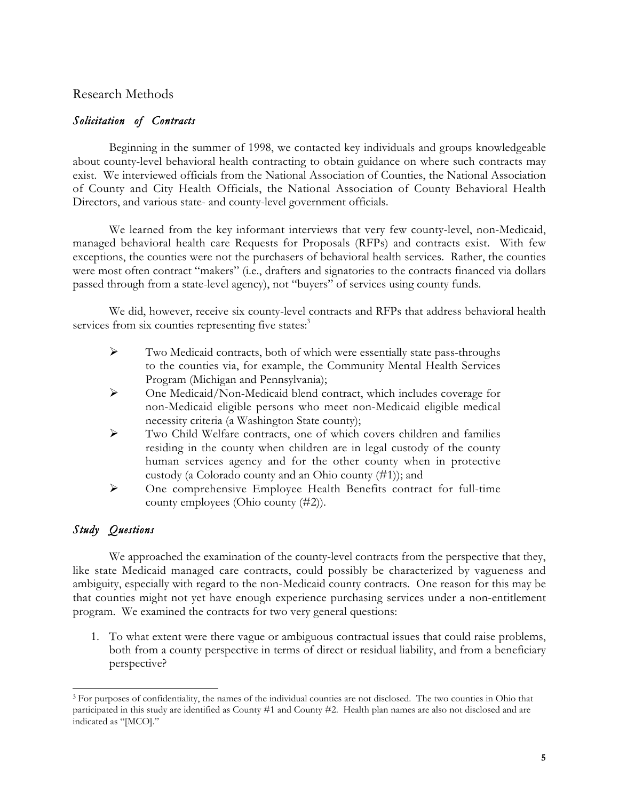## Research Methods

## *Solicitation of Contracts*

Beginning in the summer of 1998, we contacted key individuals and groups knowledgeable about county-level behavioral health contracting to obtain guidance on where such contracts may exist. We interviewed officials from the National Association of Counties, the National Association of County and City Health Officials, the National Association of County Behavioral Health Directors, and various state- and county-level government officials.

We learned from the key informant interviews that very few county-level, non-Medicaid, managed behavioral health care Requests for Proposals (RFPs) and contracts exist. With few exceptions, the counties were not the purchasers of behavioral health services. Rather, the counties were most often contract "makers" (i.e., drafters and signatories to the contracts financed via dollars passed through from a state-level agency), not "buyers" of services using county funds.

We did, however, receive six county-level contracts and RFPs that address behavioral health services from six counties representing five states:<sup>3</sup>

- $\triangleright$  Two Medicaid contracts, both of which were essentially state pass-throughs to the counties via, for example, the Community Mental Health Services Program (Michigan and Pennsylvania);
- One Medicaid/Non-Medicaid blend contract, which includes coverage for non-Medicaid eligible persons who meet non-Medicaid eligible medical necessity criteria (a Washington State county);
- $\triangleright$  Two Child Welfare contracts, one of which covers children and families residing in the county when children are in legal custody of the county human services agency and for the other county when in protective custody (a Colorado county and an Ohio county (#1)); and
- One comprehensive Employee Health Benefits contract for full-time county employees (Ohio county (#2)).

## *Study Questions*

֦

We approached the examination of the county-level contracts from the perspective that they, like state Medicaid managed care contracts, could possibly be characterized by vagueness and ambiguity, especially with regard to the non-Medicaid county contracts. One reason for this may be that counties might not yet have enough experience purchasing services under a non-entitlement program. We examined the contracts for two very general questions:

1. To what extent were there vague or ambiguous contractual issues that could raise problems, both from a county perspective in terms of direct or residual liability, and from a beneficiary perspective?

<sup>&</sup>lt;sup>3</sup> For purposes of confidentiality, the names of the individual counties are not disclosed. The two counties in Ohio that participated in this study are identified as County #1 and County #2. Health plan names are also not disclosed and are indicated as "[MCO]."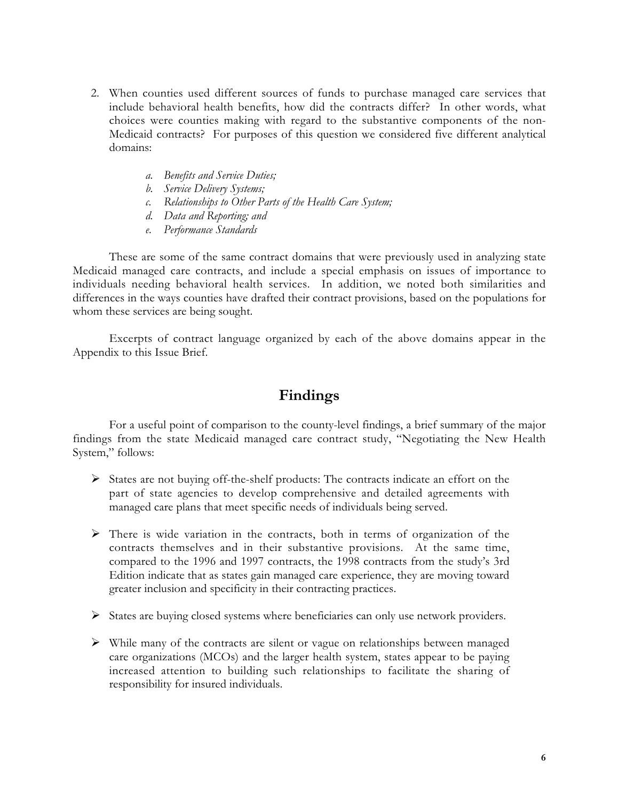- 2. When counties used different sources of funds to purchase managed care services that include behavioral health benefits, how did the contracts differ? In other words, what choices were counties making with regard to the substantive components of the non-Medicaid contracts? For purposes of this question we considered five different analytical domains:
	- *a. Benefits and Service Duties;*
	- *b. Service Delivery Systems;*
	- *c. Relationships to Other Parts of the Health Care System;*
	- *d. Data and Reporting; and*
	- *e. Performance Standards*

These are some of the same contract domains that were previously used in analyzing state Medicaid managed care contracts, and include a special emphasis on issues of importance to individuals needing behavioral health services. In addition, we noted both similarities and differences in the ways counties have drafted their contract provisions, based on the populations for whom these services are being sought.

Excerpts of contract language organized by each of the above domains appear in the Appendix to this Issue Brief.

## **Findings**

For a useful point of comparison to the county-level findings, a brief summary of the major findings from the state Medicaid managed care contract study, "Negotiating the New Health System," follows:

- $\triangleright$  States are not buying off-the-shelf products: The contracts indicate an effort on the part of state agencies to develop comprehensive and detailed agreements with managed care plans that meet specific needs of individuals being served.
- $\triangleright$  There is wide variation in the contracts, both in terms of organization of the contracts themselves and in their substantive provisions. At the same time, compared to the 1996 and 1997 contracts, the 1998 contracts from the study's 3rd Edition indicate that as states gain managed care experience, they are moving toward greater inclusion and specificity in their contracting practices.
- States are buying closed systems where beneficiaries can only use network providers.
- While many of the contracts are silent or vague on relationships between managed care organizations (MCOs) and the larger health system, states appear to be paying increased attention to building such relationships to facilitate the sharing of responsibility for insured individuals.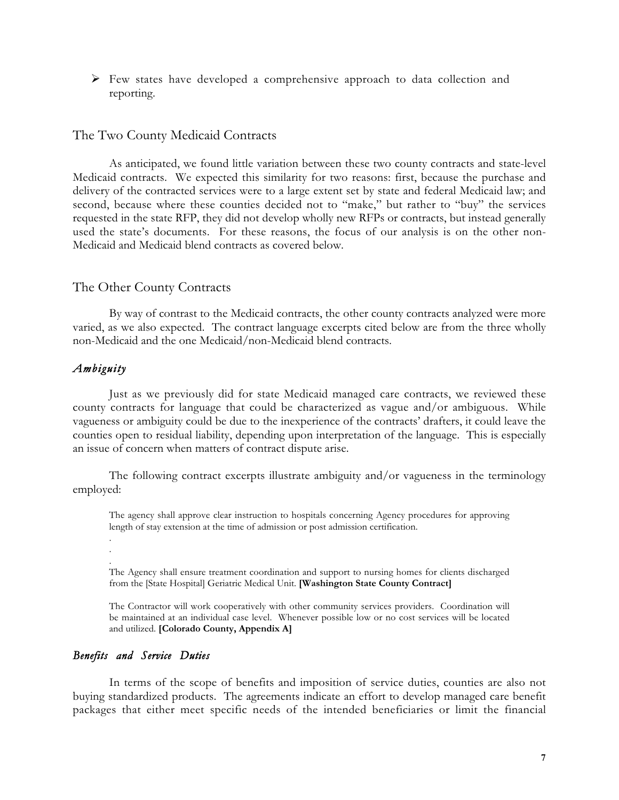$\triangleright$  Few states have developed a comprehensive approach to data collection and reporting.

### The Two County Medicaid Contracts

As anticipated, we found little variation between these two county contracts and state-level Medicaid contracts. We expected this similarity for two reasons: first, because the purchase and delivery of the contracted services were to a large extent set by state and federal Medicaid law; and second, because where these counties decided not to "make," but rather to "buy" the services requested in the state RFP, they did not develop wholly new RFPs or contracts, but instead generally used the state's documents. For these reasons, the focus of our analysis is on the other non-Medicaid and Medicaid blend contracts as covered below.

#### The Other County Contracts

By way of contrast to the Medicaid contracts, the other county contracts analyzed were more varied, as we also expected. The contract language excerpts cited below are from the three wholly non-Medicaid and the one Medicaid/non-Medicaid blend contracts.

### *Ambiguity*

Just as we previously did for state Medicaid managed care contracts, we reviewed these county contracts for language that could be characterized as vague and/or ambiguous. While vagueness or ambiguity could be due to the inexperience of the contracts' drafters, it could leave the counties open to residual liability, depending upon interpretation of the language. This is especially an issue of concern when matters of contract dispute arise.

The following contract excerpts illustrate ambiguity and/or vagueness in the terminology employed:

The agency shall approve clear instruction to hospitals concerning Agency procedures for approving length of stay extension at the time of admission or post admission certification.

. . .

The Agency shall ensure treatment coordination and support to nursing homes for clients discharged from the [State Hospital] Geriatric Medical Unit. **[Washington State County Contract]**

The Contractor will work cooperatively with other community services providers. Coordination will be maintained at an individual case level. Whenever possible low or no cost services will be located and utilized. **[Colorado County, Appendix A]**

#### *Benefits and Service Duties*

In terms of the scope of benefits and imposition of service duties, counties are also not buying standardized products. The agreements indicate an effort to develop managed care benefit packages that either meet specific needs of the intended beneficiaries or limit the financial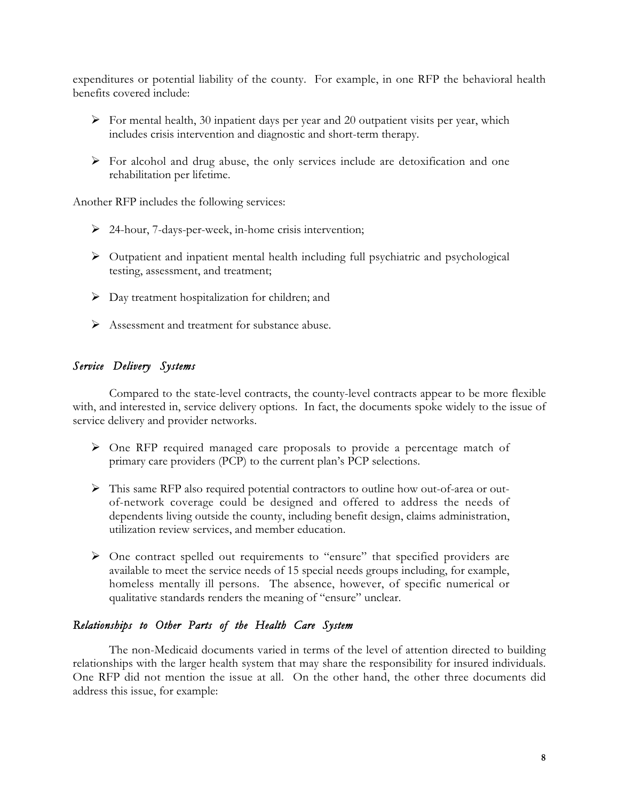expenditures or potential liability of the county. For example, in one RFP the behavioral health benefits covered include:

- $\triangleright$  For mental health, 30 inpatient days per year and 20 outpatient visits per year, which includes crisis intervention and diagnostic and short-term therapy.
- For alcohol and drug abuse, the only services include are detoxification and one rehabilitation per lifetime.

Another RFP includes the following services:

- 24-hour, 7-days-per-week, in-home crisis intervention;
- Outpatient and inpatient mental health including full psychiatric and psychological testing, assessment, and treatment;
- $\triangleright$  Day treatment hospitalization for children; and
- $\triangleright$  Assessment and treatment for substance abuse.

## *Service Delivery Systems*

Compared to the state-level contracts, the county-level contracts appear to be more flexible with, and interested in, service delivery options. In fact, the documents spoke widely to the issue of service delivery and provider networks.

- One RFP required managed care proposals to provide a percentage match of primary care providers (PCP) to the current plan's PCP selections.
- This same RFP also required potential contractors to outline how out-of-area or outof-network coverage could be designed and offered to address the needs of dependents living outside the county, including benefit design, claims administration, utilization review services, and member education.
- One contract spelled out requirements to "ensure" that specified providers are available to meet the service needs of 15 special needs groups including, for example, homeless mentally ill persons. The absence, however, of specific numerical or qualitative standards renders the meaning of "ensure" unclear.

### *Relationships to Other Parts of the Health Care System*

The non-Medicaid documents varied in terms of the level of attention directed to building relationships with the larger health system that may share the responsibility for insured individuals. One RFP did not mention the issue at all. On the other hand, the other three documents did address this issue, for example: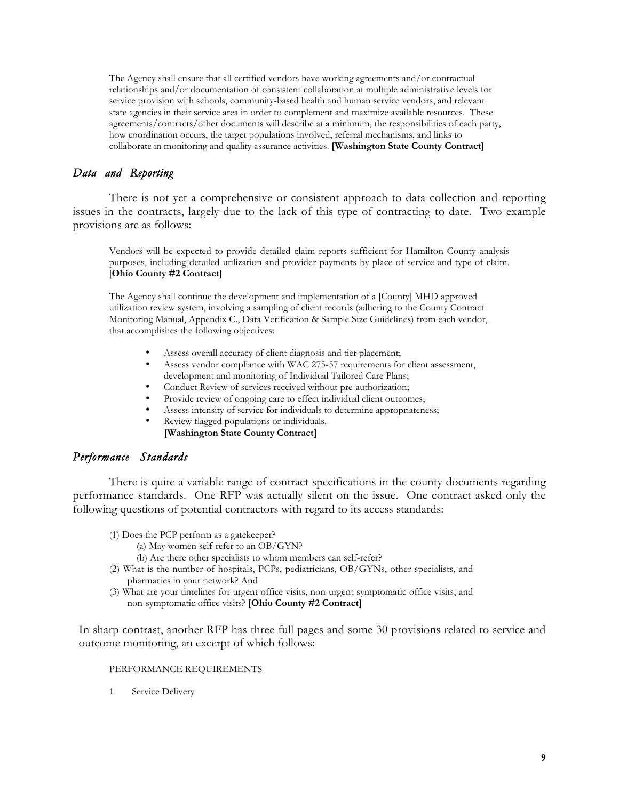The Agency shall ensure that all certified vendors have working agreements and/or contractual relationships and/or documentation of consistent collaboration at multiple administrative levels for service provision with schools, community-based health and human service vendors, and relevant state agencies in their service area in order to complement and maximize available resources. These agreements/contracts/other documents will describe at a minimum, the responsibilities of each party, how coordination occurs, the target populations involved, referral mechanisms, and links to collaborate in monitoring and quality assurance activities. **[Washington State County Contract]**

## *Data and Reporting*

There is not yet a comprehensive or consistent approach to data collection and reporting issues in the contracts, largely due to the lack of this type of contracting to date. Two example provisions are as follows:

Vendors will be expected to provide detailed claim reports sufficient for Hamilton County analysis purposes, including detailed utilization and provider payments by place of service and type of claim. [**Ohio County #2 Contract]**

The Agency shall continue the development and implementation of a [County] MHD approved utilization review system, involving a sampling of client records (adhering to the County Contract Monitoring Manual, Appendix C., Data Verification & Sample Size Guidelines) from each vendor, that accomplishes the following objectives:

- Assess overall accuracy of client diagnosis and tier placement;
- Assess vendor compliance with WAC 275-57 requirements for client assessment, development and monitoring of Individual Tailored Care Plans;
- Conduct Review of services received without pre-authorization;
- Provide review of ongoing care to effect individual client outcomes;
- Assess intensity of service for individuals to determine appropriateness;
- Review flagged populations or individuals. **[Washington State County Contract]**

## *Performance Standards*

There is quite a variable range of contract specifications in the county documents regarding performance standards. One RFP was actually silent on the issue. One contract asked only the following questions of potential contractors with regard to its access standards:

- (1) Does the PCP perform as a gatekeeper?
	- (a) May women self-refer to an OB/GYN?
	- (b) Are there other specialists to whom members can self-refer?
- (2) What is the number of hospitals, PCPs, pediatricians, OB/GYNs, other specialists, and pharmacies in your network? And
- (3) What are your timelines for urgent office visits, non-urgent symptomatic office visits, and non-symptomatic office visits? **[Ohio County #2 Contract]**

In sharp contrast, another RFP has three full pages and some 30 provisions related to service and outcome monitoring, an excerpt of which follows:

#### PERFORMANCE REQUIREMENTS

1. Service Delivery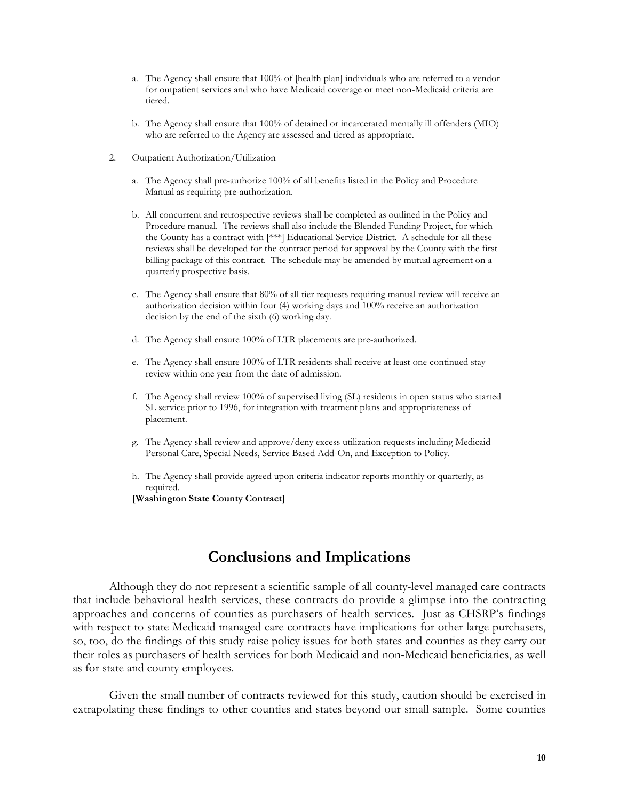- a. The Agency shall ensure that 100% of [health plan] individuals who are referred to a vendor for outpatient services and who have Medicaid coverage or meet non-Medicaid criteria are tiered.
- b. The Agency shall ensure that 100% of detained or incarcerated mentally ill offenders (MIO) who are referred to the Agency are assessed and tiered as appropriate.
- 2. Outpatient Authorization/Utilization
	- a. The Agency shall pre-authorize 100% of all benefits listed in the Policy and Procedure Manual as requiring pre-authorization.
	- b. All concurrent and retrospective reviews shall be completed as outlined in the Policy and Procedure manual. The reviews shall also include the Blended Funding Project, for which the County has a contract with [\*\*\*] Educational Service District. A schedule for all these reviews shall be developed for the contract period for approval by the County with the first billing package of this contract. The schedule may be amended by mutual agreement on a quarterly prospective basis.
	- c. The Agency shall ensure that 80% of all tier requests requiring manual review will receive an authorization decision within four (4) working days and 100% receive an authorization decision by the end of the sixth (6) working day.
	- d. The Agency shall ensure 100% of LTR placements are pre-authorized.
	- e. The Agency shall ensure 100% of LTR residents shall receive at least one continued stay review within one year from the date of admission.
	- f. The Agency shall review 100% of supervised living (SL) residents in open status who started SL service prior to 1996, for integration with treatment plans and appropriateness of placement.
	- g. The Agency shall review and approve/deny excess utilization requests including Medicaid Personal Care, Special Needs, Service Based Add-On, and Exception to Policy.
	- h. The Agency shall provide agreed upon criteria indicator reports monthly or quarterly, as required.

**[Washington State County Contract]**

## **Conclusions and Implications**

Although they do not represent a scientific sample of all county-level managed care contracts that include behavioral health services, these contracts do provide a glimpse into the contracting approaches and concerns of counties as purchasers of health services. Just as CHSRP's findings with respect to state Medicaid managed care contracts have implications for other large purchasers, so, too, do the findings of this study raise policy issues for both states and counties as they carry out their roles as purchasers of health services for both Medicaid and non-Medicaid beneficiaries, as well as for state and county employees.

Given the small number of contracts reviewed for this study, caution should be exercised in extrapolating these findings to other counties and states beyond our small sample. Some counties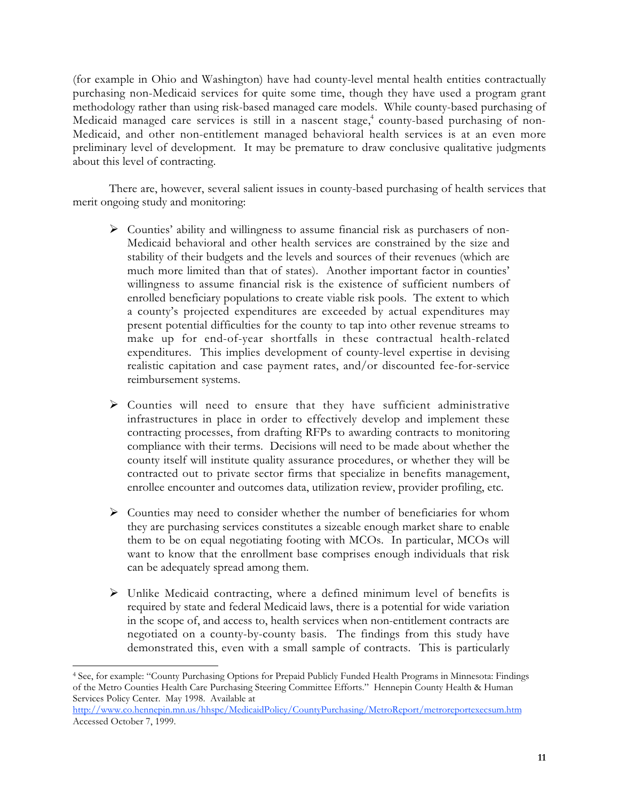(for example in Ohio and Washington) have had county-level mental health entities contractually purchasing non-Medicaid services for quite some time, though they have used a program grant methodology rather than using risk-based managed care models. While county-based purchasing of Medicaid managed care services is still in a nascent stage,<sup>4</sup> county-based purchasing of non-Medicaid, and other non-entitlement managed behavioral health services is at an even more preliminary level of development. It may be premature to draw conclusive qualitative judgments about this level of contracting.

There are, however, several salient issues in county-based purchasing of health services that merit ongoing study and monitoring:

- $\triangleright$  Counties' ability and willingness to assume financial risk as purchasers of non-Medicaid behavioral and other health services are constrained by the size and stability of their budgets and the levels and sources of their revenues (which are much more limited than that of states). Another important factor in counties' willingness to assume financial risk is the existence of sufficient numbers of enrolled beneficiary populations to create viable risk pools. The extent to which a county's projected expenditures are exceeded by actual expenditures may present potential difficulties for the county to tap into other revenue streams to make up for end-of-year shortfalls in these contractual health-related expenditures. This implies development of county-level expertise in devising realistic capitation and case payment rates, and/or discounted fee-for-service reimbursement systems.
- $\triangleright$  Counties will need to ensure that they have sufficient administrative infrastructures in place in order to effectively develop and implement these contracting processes, from drafting RFPs to awarding contracts to monitoring compliance with their terms. Decisions will need to be made about whether the county itself will institute quality assurance procedures, or whether they will be contracted out to private sector firms that specialize in benefits management, enrollee encounter and outcomes data, utilization review, provider profiling, etc.
- $\triangleright$  Counties may need to consider whether the number of beneficiaries for whom they are purchasing services constitutes a sizeable enough market share to enable them to be on equal negotiating footing with MCOs. In particular, MCOs will want to know that the enrollment base comprises enough individuals that risk can be adequately spread among them.
- $\triangleright$  Unlike Medicaid contracting, where a defined minimum level of benefits is required by state and federal Medicaid laws, there is a potential for wide variation in the scope of, and access to, health services when non-entitlement contracts are negotiated on a county-by-county basis. The findings from this study have demonstrated this, even with a small sample of contracts. This is particularly

֦

<sup>4</sup> See, for example: "County Purchasing Options for Prepaid Publicly Funded Health Programs in Minnesota: Findings of the Metro Counties Health Care Purchasing Steering Committee Efforts." Hennepin County Health & Human Services Policy Center. May 1998. Available at

http://www.co.hennepin.mn.us/hhspc/MedicaidPolicy/CountyPurchasing/MetroReport/metroreportexecsum.htm Accessed October 7, 1999.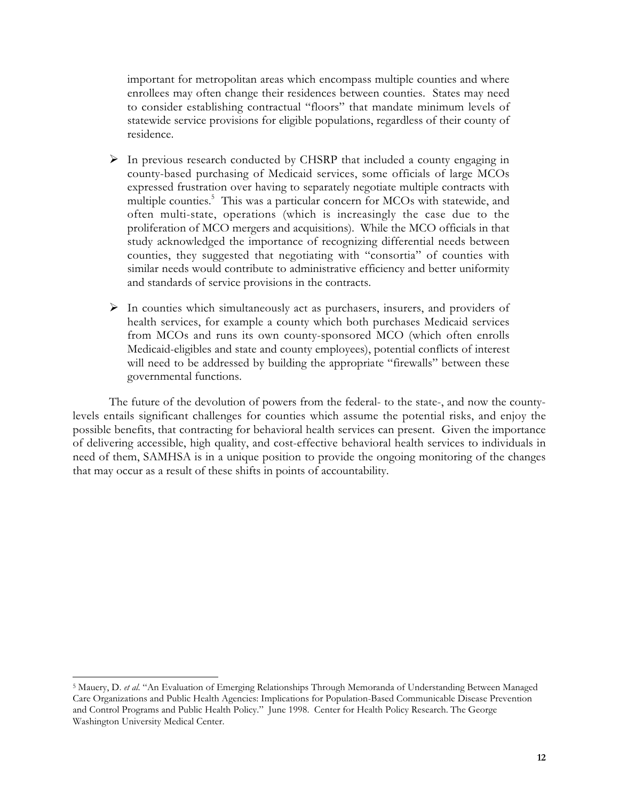important for metropolitan areas which encompass multiple counties and where enrollees may often change their residences between counties. States may need to consider establishing contractual "floors" that mandate minimum levels of statewide service provisions for eligible populations, regardless of their county of residence.

- $\triangleright$  In previous research conducted by CHSRP that included a county engaging in county-based purchasing of Medicaid services, some officials of large MCOs expressed frustration over having to separately negotiate multiple contracts with multiple counties.5 This was a particular concern for MCOs with statewide, and often multi-state, operations (which is increasingly the case due to the proliferation of MCO mergers and acquisitions). While the MCO officials in that study acknowledged the importance of recognizing differential needs between counties, they suggested that negotiating with "consortia" of counties with similar needs would contribute to administrative efficiency and better uniformity and standards of service provisions in the contracts.
- $\triangleright$  In counties which simultaneously act as purchasers, insurers, and providers of health services, for example a county which both purchases Medicaid services from MCOs and runs its own county-sponsored MCO (which often enrolls Medicaid-eligibles and state and county employees), potential conflicts of interest will need to be addressed by building the appropriate "firewalls" between these governmental functions.

The future of the devolution of powers from the federal- to the state-, and now the countylevels entails significant challenges for counties which assume the potential risks, and enjoy the possible benefits, that contracting for behavioral health services can present. Given the importance of delivering accessible, high quality, and cost-effective behavioral health services to individuals in need of them, SAMHSA is in a unique position to provide the ongoing monitoring of the changes that may occur as a result of these shifts in points of accountability.

 $\overline{a}$ 

<sup>5</sup> Mauery, D. *et al*. "An Evaluation of Emerging Relationships Through Memoranda of Understanding Between Managed Care Organizations and Public Health Agencies: Implications for Population-Based Communicable Disease Prevention and Control Programs and Public Health Policy." June 1998. Center for Health Policy Research. The George Washington University Medical Center.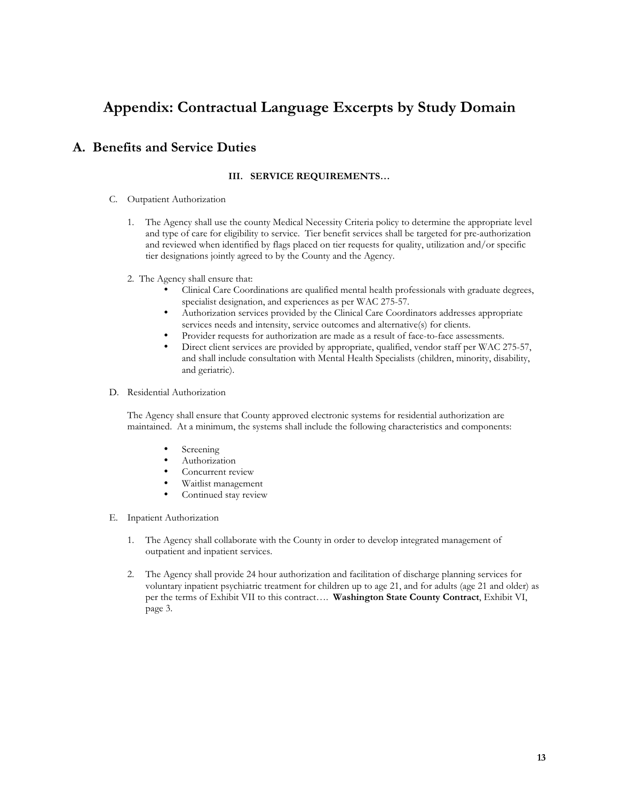## **Appendix: Contractual Language Excerpts by Study Domain**

## **A. Benefits and Service Duties**

#### **III. SERVICE REQUIREMENTS…**

- C. Outpatient Authorization
	- 1. The Agency shall use the county Medical Necessity Criteria policy to determine the appropriate level and type of care for eligibility to service. Tier benefit services shall be targeted for pre-authorization and reviewed when identified by flags placed on tier requests for quality, utilization and/or specific tier designations jointly agreed to by the County and the Agency.
	- 2. The Agency shall ensure that:
		- Clinical Care Coordinations are qualified mental health professionals with graduate degrees, specialist designation, and experiences as per WAC 275-57.
		- Authorization services provided by the Clinical Care Coordinators addresses appropriate services needs and intensity, service outcomes and alternative(s) for clients.
		- Provider requests for authorization are made as a result of face-to-face assessments.
		- Direct client services are provided by appropriate, qualified, vendor staff per WAC 275-57, and shall include consultation with Mental Health Specialists (children, minority, disability, and geriatric).

#### D. Residential Authorization

The Agency shall ensure that County approved electronic systems for residential authorization are maintained. At a minimum, the systems shall include the following characteristics and components:

- **Screening**
- **Authorization**
- Concurrent review
- Waitlist management
- Continued stay review
- E. Inpatient Authorization
	- 1. The Agency shall collaborate with the County in order to develop integrated management of outpatient and inpatient services.
	- 2. The Agency shall provide 24 hour authorization and facilitation of discharge planning services for voluntary inpatient psychiatric treatment for children up to age 21, and for adults (age 21 and older) as per the terms of Exhibit VII to this contract…. **Washington State County Contract**, Exhibit VI, page 3.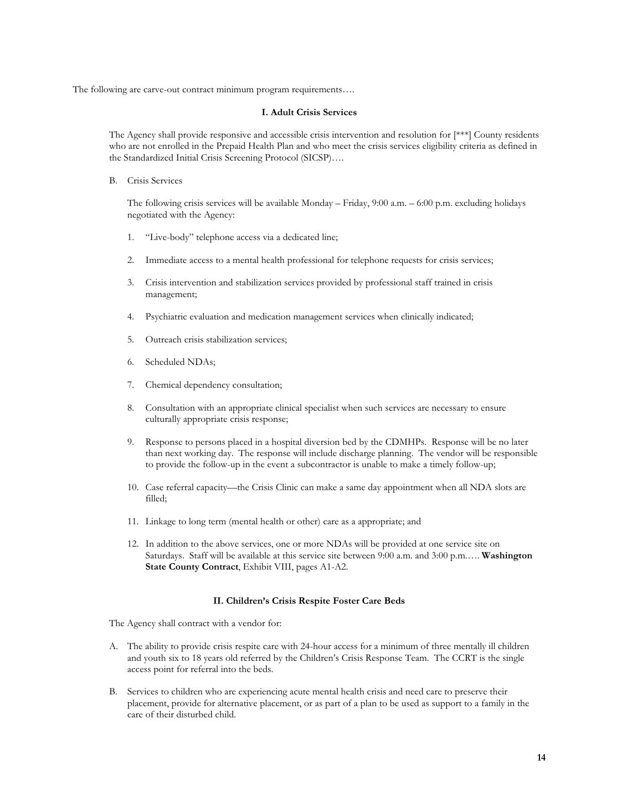The following are carve-out contract minimum program requirements….

#### **I. Adult Crisis Services**

The Agency shall provide responsive and accessible crisis intervention and resolution for [\*\*\*] County residents who are not enrolled in the Prepaid Health Plan and who meet the crisis services eligibility criteria as defined in the Standardized Initial Crisis Screening Protocol (SICSP)….

B. Crisis Services

The following crisis services will be available Monday – Friday, 9:00 a.m. – 6:00 p.m. excluding holidays negotiated with the Agency:

- 1. "Live-body" telephone access via a dedicated line;
- 2. Immediate access to a mental health professional for telephone requests for crisis services;
- 3. Crisis intervention and stabilization services provided by professional staff trained in crisis management;
- 4. Psychiatric evaluation and medication management services when clinically indicated;
- 5. Outreach crisis stabilization services;
- 6. Scheduled NDAs;
- 7. Chemical dependency consultation;
- 8. Consultation with an appropriate clinical specialist when such services are necessary to ensure culturally appropriate crisis response;
- 9. Response to persons placed in a hospital diversion bed by the CDMHPs. Response will be no later than next working day. The response will include discharge planning. The vendor will be responsible to provide the follow-up in the event a subcontractor is unable to make a timely follow-up;
- 10. Case referral capacity—the Crisis Clinic can make a same day appointment when all NDA slots are filled;
- 11. Linkage to long term (mental health or other) care as a appropriate; and
- 12. In addition to the above services, one or more NDAs will be provided at one service site on Saturdays. Staff will be available at this service site between 9:00 a.m. and 3:00 p.m.…. **Washington State County Contract**, Exhibit VIII, pages A1-A2.

#### **II. Children's Crisis Respite Foster Care Beds**

The Agency shall contract with a vendor for:

- A. The ability to provide crisis respite care with 24-hour access for a minimum of three mentally ill children and youth six to 18 years old referred by the Children's Crisis Response Team. The CCRT is the single access point for referral into the beds.
- B. Services to children who are experiencing acute mental health crisis and need care to preserve their placement, provide for alternative placement, or as part of a plan to be used as support to a family in the care of their disturbed child.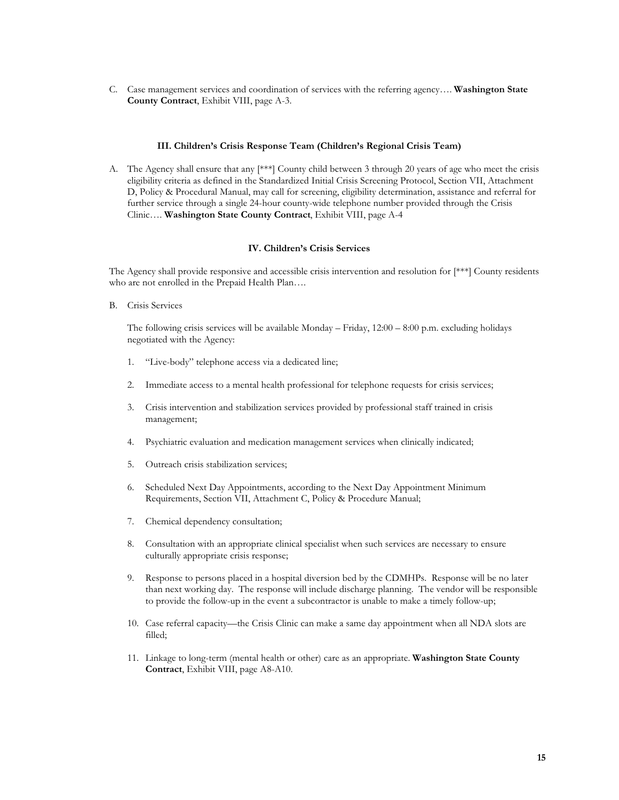C. Case management services and coordination of services with the referring agency…. **Washington State County Contract**, Exhibit VIII, page A-3.

#### **III. Children's Crisis Response Team (Children's Regional Crisis Team)**

A. The Agency shall ensure that any [\*\*\*] County child between 3 through 20 years of age who meet the crisis eligibility criteria as defined in the Standardized Initial Crisis Screening Protocol, Section VII, Attachment D, Policy & Procedural Manual, may call for screening, eligibility determination, assistance and referral for further service through a single 24-hour county-wide telephone number provided through the Crisis Clinic…. **Washington State County Contract**, Exhibit VIII, page A-4

#### **IV. Children's Crisis Services**

The Agency shall provide responsive and accessible crisis intervention and resolution for [\*\*\*] County residents who are not enrolled in the Prepaid Health Plan….

B. Crisis Services

The following crisis services will be available Monday – Friday, 12:00 – 8:00 p.m. excluding holidays negotiated with the Agency:

- 1. "Live-body" telephone access via a dedicated line;
- 2. Immediate access to a mental health professional for telephone requests for crisis services;
- 3. Crisis intervention and stabilization services provided by professional staff trained in crisis management;
- 4. Psychiatric evaluation and medication management services when clinically indicated;
- 5. Outreach crisis stabilization services;
- 6. Scheduled Next Day Appointments, according to the Next Day Appointment Minimum Requirements, Section VII, Attachment C, Policy & Procedure Manual;
- 7. Chemical dependency consultation;
- 8. Consultation with an appropriate clinical specialist when such services are necessary to ensure culturally appropriate crisis response;
- 9. Response to persons placed in a hospital diversion bed by the CDMHPs. Response will be no later than next working day. The response will include discharge planning. The vendor will be responsible to provide the follow-up in the event a subcontractor is unable to make a timely follow-up;
- 10. Case referral capacity—the Crisis Clinic can make a same day appointment when all NDA slots are filled;
- 11. Linkage to long-term (mental health or other) care as an appropriate. **Washington State County Contract**, Exhibit VIII, page A8-A10.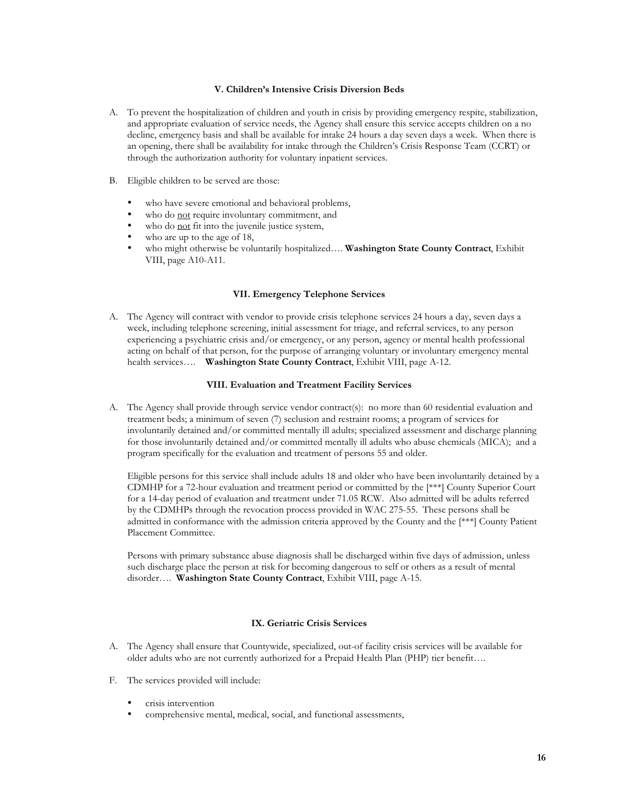#### **V. Children's Intensive Crisis Diversion Beds**

- A. To prevent the hospitalization of children and youth in crisis by providing emergency respite, stabilization, and appropriate evaluation of service needs, the Agency shall ensure this service accepts children on a no decline, emergency basis and shall be available for intake 24 hours a day seven days a week. When there is an opening, there shall be availability for intake through the Children's Crisis Response Team (CCRT) or through the authorization authority for voluntary inpatient services.
- B. Eligible children to be served are those:
	- who have severe emotional and behavioral problems,
	- who do not require involuntary commitment, and<br>• who do not fit into the invenile instice system
	- who do  $\frac{\text{not}}{\text{at}}$  fit into the juvenile justice system,<br>• who are un to the age of 18.
	- who are up to the age of 18,
	- who might otherwise be voluntarily hospitalized…. **Washington State County Contract**, Exhibit VIII, page A10-A11.

#### **VII. Emergency Telephone Services**

A. The Agency will contract with vendor to provide crisis telephone services 24 hours a day, seven days a week, including telephone screening, initial assessment for triage, and referral services, to any person experiencing a psychiatric crisis and/or emergency, or any person, agency or mental health professional acting on behalf of that person, for the purpose of arranging voluntary or involuntary emergency mental health services…. **Washington State County Contract**, Exhibit VIII, page A-12.

#### **VIII. Evaluation and Treatment Facility Services**

A. The Agency shall provide through service vendor contract(s): no more than 60 residential evaluation and treatment beds; a minimum of seven (7) seclusion and restraint rooms; a program of services for involuntarily detained and/or committed mentally ill adults; specialized assessment and discharge planning for those involuntarily detained and/or committed mentally ill adults who abuse chemicals (MICA); and a program specifically for the evaluation and treatment of persons 55 and older.

Eligible persons for this service shall include adults 18 and older who have been involuntarily detained by a CDMHP for a 72-hour evaluation and treatment period or committed by the [\*\*\*] County Superior Court for a 14-day period of evaluation and treatment under 71.05 RCW. Also admitted will be adults referred by the CDMHPs through the revocation process provided in WAC 275-55. These persons shall be admitted in conformance with the admission criteria approved by the County and the [\*\*\*] County Patient Placement Committee.

Persons with primary substance abuse diagnosis shall be discharged within five days of admission, unless such discharge place the person at risk for becoming dangerous to self or others as a result of mental disorder…. **Washington State County Contract**, Exhibit VIII, page A-15.

#### **IX. Geriatric Crisis Services**

- A. The Agency shall ensure that Countywide, specialized, out-of facility crisis services will be available for older adults who are not currently authorized for a Prepaid Health Plan (PHP) tier benefit….
- F. The services provided will include:
	- crisis intervention
	- comprehensive mental, medical, social, and functional assessments,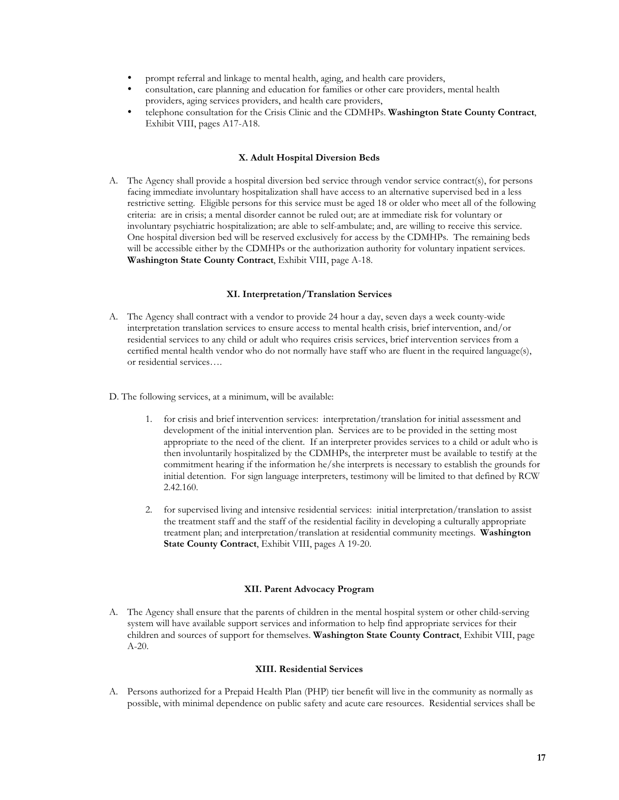- prompt referral and linkage to mental health, aging, and health care providers,
- consultation, care planning and education for families or other care providers, mental health providers, aging services providers, and health care providers,
- telephone consultation for the Crisis Clinic and the CDMHPs. **Washington State County Contract**, Exhibit VIII, pages A17-A18.

#### **X. Adult Hospital Diversion Beds**

A. The Agency shall provide a hospital diversion bed service through vendor service contract(s), for persons facing immediate involuntary hospitalization shall have access to an alternative supervised bed in a less restrictive setting. Eligible persons for this service must be aged 18 or older who meet all of the following criteria: are in crisis; a mental disorder cannot be ruled out; are at immediate risk for voluntary or involuntary psychiatric hospitalization; are able to self-ambulate; and, are willing to receive this service. One hospital diversion bed will be reserved exclusively for access by the CDMHPs. The remaining beds will be accessible either by the CDMHPs or the authorization authority for voluntary inpatient services. **Washington State County Contract**, Exhibit VIII, page A-18.

#### **XI. Interpretation/Translation Services**

- A. The Agency shall contract with a vendor to provide 24 hour a day, seven days a week county-wide interpretation translation services to ensure access to mental health crisis, brief intervention, and/or residential services to any child or adult who requires crisis services, brief intervention services from a certified mental health vendor who do not normally have staff who are fluent in the required language(s), or residential services….
- D. The following services, at a minimum, will be available:
	- 1. for crisis and brief intervention services: interpretation/translation for initial assessment and development of the initial intervention plan. Services are to be provided in the setting most appropriate to the need of the client. If an interpreter provides services to a child or adult who is then involuntarily hospitalized by the CDMHPs, the interpreter must be available to testify at the commitment hearing if the information he/she interprets is necessary to establish the grounds for initial detention. For sign language interpreters, testimony will be limited to that defined by RCW 2.42.160.
	- 2. for supervised living and intensive residential services: initial interpretation/translation to assist the treatment staff and the staff of the residential facility in developing a culturally appropriate treatment plan; and interpretation/translation at residential community meetings. **Washington State County Contract**, Exhibit VIII, pages A 19-20.

#### **XII. Parent Advocacy Program**

A. The Agency shall ensure that the parents of children in the mental hospital system or other child-serving system will have available support services and information to help find appropriate services for their children and sources of support for themselves. **Washington State County Contract**, Exhibit VIII, page A-20.

#### **XIII. Residential Services**

A. Persons authorized for a Prepaid Health Plan (PHP) tier benefit will live in the community as normally as possible, with minimal dependence on public safety and acute care resources. Residential services shall be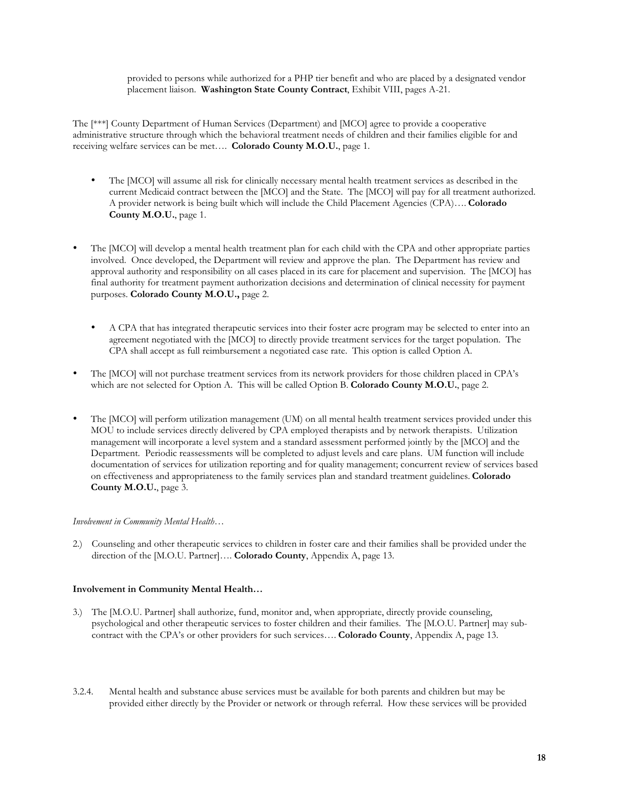#### provided to persons while authorized for a PHP tier benefit and who are placed by a designated vendor placement liaison. **Washington State County Contract**, Exhibit VIII, pages A-21.

The [\*\*\*] County Department of Human Services (Department) and [MCO] agree to provide a cooperative administrative structure through which the behavioral treatment needs of children and their families eligible for and receiving welfare services can be met…. **Colorado County M.O.U.**, page 1.

- The [MCO] will assume all risk for clinically necessary mental health treatment services as described in the current Medicaid contract between the [MCO] and the State. The [MCO] will pay for all treatment authorized. A provider network is being built which will include the Child Placement Agencies (CPA)…. **Colorado County M.O.U.**, page 1.
- The [MCO] will develop a mental health treatment plan for each child with the CPA and other appropriate parties involved. Once developed, the Department will review and approve the plan. The Department has review and approval authority and responsibility on all cases placed in its care for placement and supervision. The [MCO] has final authority for treatment payment authorization decisions and determination of clinical necessity for payment purposes. **Colorado County M.O.U.,** page 2.
	- A CPA that has integrated therapeutic services into their foster acre program may be selected to enter into an agreement negotiated with the [MCO] to directly provide treatment services for the target population. The CPA shall accept as full reimbursement a negotiated case rate. This option is called Option A.
- The [MCO] will not purchase treatment services from its network providers for those children placed in CPA's which are not selected for Option A. This will be called Option B. **Colorado County M.O.U.**, page 2.
- The [MCO] will perform utilization management (UM) on all mental health treatment services provided under this MOU to include services directly delivered by CPA employed therapists and by network therapists. Utilization management will incorporate a level system and a standard assessment performed jointly by the [MCO] and the Department. Periodic reassessments will be completed to adjust levels and care plans. UM function will include documentation of services for utilization reporting and for quality management; concurrent review of services based on effectiveness and appropriateness to the family services plan and standard treatment guidelines. **Colorado County M.O.U.**, page 3.

#### *Involvement in Community Mental Health…*

2.) Counseling and other therapeutic services to children in foster care and their families shall be provided under the direction of the [M.O.U. Partner]…. **Colorado County**, Appendix A, page 13.

#### **Involvement in Community Mental Health…**

- 3.) The [M.O.U. Partner] shall authorize, fund, monitor and, when appropriate, directly provide counseling, psychological and other therapeutic services to foster children and their families. The [M.O.U. Partner] may subcontract with the CPA's or other providers for such services…. **Colorado County**, Appendix A, page 13.
- 3.2.4. Mental health and substance abuse services must be available for both parents and children but may be provided either directly by the Provider or network or through referral. How these services will be provided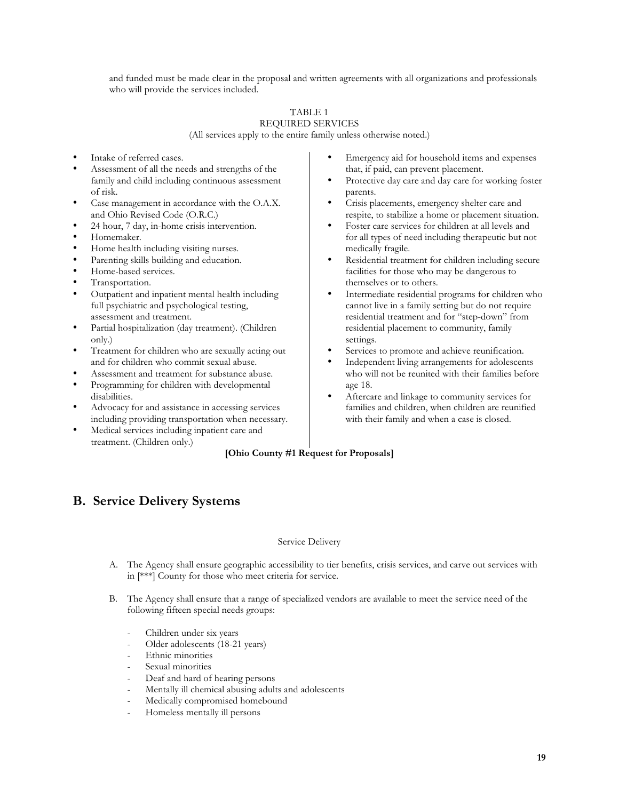and funded must be made clear in the proposal and written agreements with all organizations and professionals who will provide the services included.

#### TABLE 1 REQUIRED SERVICES

(All services apply to the entire family unless otherwise noted.)

- Intake of referred cases.
- Assessment of all the needs and strengths of the family and child including continuous assessment of risk.
- Case management in accordance with the O.A.X. and Ohio Revised Code (O.R.C.)
- 24 hour, 7 day, in-home crisis intervention.
- Homemaker.
- Home health including visiting nurses.
- Parenting skills building and education.
- Home-based services.
- Transportation.
- Outpatient and inpatient mental health including full psychiatric and psychological testing, assessment and treatment.
- Partial hospitalization (day treatment). (Children only.)
- Treatment for children who are sexually acting out and for children who commit sexual abuse.
- Assessment and treatment for substance abuse.
- Programming for children with developmental disabilities.
- Advocacy for and assistance in accessing services including providing transportation when necessary.
- Medical services including inpatient care and treatment. (Children only.)
- Emergency aid for household items and expenses that, if paid, can prevent placement.
- Protective day care and day care for working foster parents.
- Crisis placements, emergency shelter care and respite, to stabilize a home or placement situation.
- Foster care services for children at all levels and for all types of need including therapeutic but not medically fragile.
- Residential treatment for children including secure facilities for those who may be dangerous to themselves or to others.
- Intermediate residential programs for children who cannot live in a family setting but do not require residential treatment and for "step-down" from residential placement to community, family settings.
- Services to promote and achieve reunification.
- Independent living arrangements for adolescents who will not be reunited with their families before age 18.
- Aftercare and linkage to community services for families and children, when children are reunified with their family and when a case is closed.

### **[Ohio County #1 Request for Proposals]**

## **B. Service Delivery Systems**

#### Service Delivery

- A. The Agency shall ensure geographic accessibility to tier benefits, crisis services, and carve out services with in [\*\*\*] County for those who meet criteria for service.
- B. The Agency shall ensure that a range of specialized vendors are available to meet the service need of the following fifteen special needs groups:
	- Children under six years
	- Older adolescents (18-21 years)
	- Ethnic minorities
	- Sexual minorities
	- Deaf and hard of hearing persons
	- Mentally ill chemical abusing adults and adolescents
	- Medically compromised homebound
	- Homeless mentally ill persons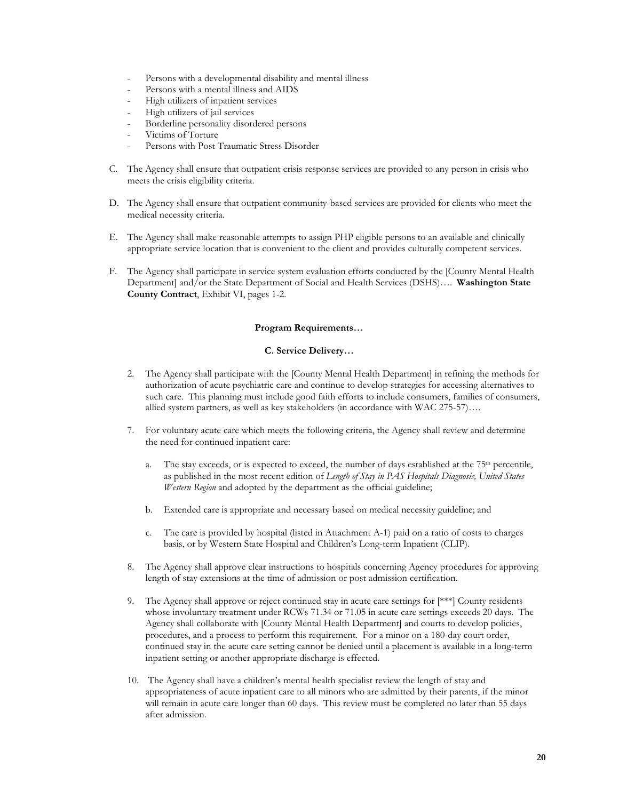- Persons with a developmental disability and mental illness
- Persons with a mental illness and AIDS
- High utilizers of inpatient services
- High utilizers of jail services
- Borderline personality disordered persons
- Victims of Torture
- Persons with Post Traumatic Stress Disorder
- C. The Agency shall ensure that outpatient crisis response services are provided to any person in crisis who meets the crisis eligibility criteria.
- D. The Agency shall ensure that outpatient community-based services are provided for clients who meet the medical necessity criteria.
- E. The Agency shall make reasonable attempts to assign PHP eligible persons to an available and clinically appropriate service location that is convenient to the client and provides culturally competent services.
- F. The Agency shall participate in service system evaluation efforts conducted by the [County Mental Health Department] and/or the State Department of Social and Health Services (DSHS)…. **Washington State County Contract**, Exhibit VI, pages 1-2.

#### **Program Requirements…**

#### **C. Service Delivery…**

- 2. The Agency shall participate with the [County Mental Health Department] in refining the methods for authorization of acute psychiatric care and continue to develop strategies for accessing alternatives to such care. This planning must include good faith efforts to include consumers, families of consumers, allied system partners, as well as key stakeholders (in accordance with WAC 275-57)….
- 7. For voluntary acute care which meets the following criteria, the Agency shall review and determine the need for continued inpatient care:
	- a. The stay exceeds, or is expected to exceed, the number of days established at the 75th percentile, as published in the most recent edition of *Length of Stay in PAS Hospitals Diagnosis, United States Western Region* and adopted by the department as the official guideline;
	- b. Extended care is appropriate and necessary based on medical necessity guideline; and
	- c. The care is provided by hospital (listed in Attachment A-1) paid on a ratio of costs to charges basis, or by Western State Hospital and Children's Long-term Inpatient (CLIP).
- 8. The Agency shall approve clear instructions to hospitals concerning Agency procedures for approving length of stay extensions at the time of admission or post admission certification.
- 9. The Agency shall approve or reject continued stay in acute care settings for [\*\*\*] County residents whose involuntary treatment under RCWs 71.34 or 71.05 in acute care settings exceeds 20 days. The Agency shall collaborate with [County Mental Health Department] and courts to develop policies, procedures, and a process to perform this requirement. For a minor on a 180-day court order, continued stay in the acute care setting cannot be denied until a placement is available in a long-term inpatient setting or another appropriate discharge is effected.
- 10. The Agency shall have a children's mental health specialist review the length of stay and appropriateness of acute inpatient care to all minors who are admitted by their parents, if the minor will remain in acute care longer than 60 days. This review must be completed no later than 55 days after admission.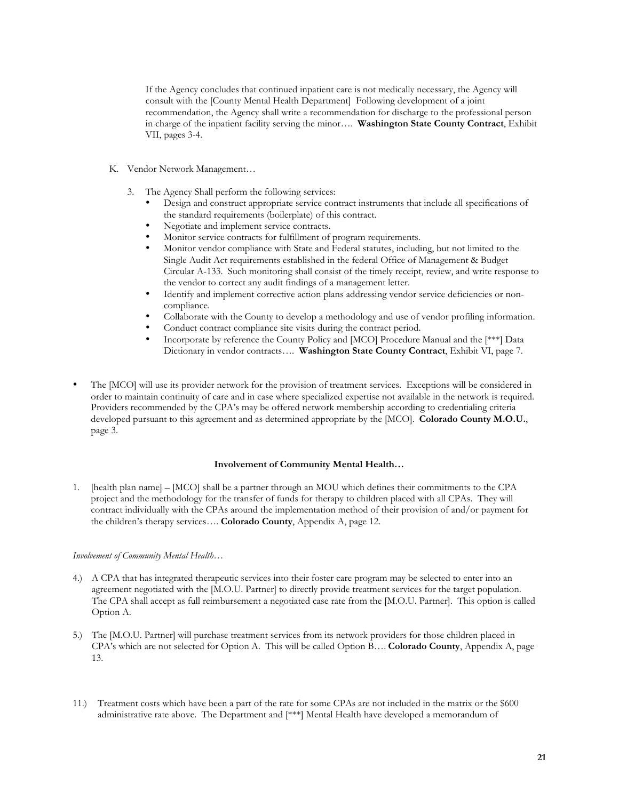If the Agency concludes that continued inpatient care is not medically necessary, the Agency will consult with the [County Mental Health Department] Following development of a joint recommendation, the Agency shall write a recommendation for discharge to the professional person in charge of the inpatient facility serving the minor…. **Washington State County Contract**, Exhibit VII, pages 3-4.

- K. Vendor Network Management…
	- 3. The Agency Shall perform the following services:
		- Design and construct appropriate service contract instruments that include all specifications of the standard requirements (boilerplate) of this contract.
		- Negotiate and implement service contracts.
		- Monitor service contracts for fulfillment of program requirements.
		- Monitor vendor compliance with State and Federal statutes, including, but not limited to the Single Audit Act requirements established in the federal Office of Management & Budget Circular A-133. Such monitoring shall consist of the timely receipt, review, and write response to the vendor to correct any audit findings of a management letter.
		- Identify and implement corrective action plans addressing vendor service deficiencies or noncompliance.
		- Collaborate with the County to develop a methodology and use of vendor profiling information.
		- Conduct contract compliance site visits during the contract period.
		- Incorporate by reference the County Policy and [MCO] Procedure Manual and the [\*\*\*] Data Dictionary in vendor contracts…. **Washington State County Contract**, Exhibit VI, page 7.
- The [MCO] will use its provider network for the provision of treatment services. Exceptions will be considered in order to maintain continuity of care and in case where specialized expertise not available in the network is required. Providers recommended by the CPA's may be offered network membership according to credentialing criteria developed pursuant to this agreement and as determined appropriate by the [MCO]. **Colorado County M.O.U.**, page 3.

#### **Involvement of Community Mental Health…**

1. [health plan name] – [MCO] shall be a partner through an MOU which defines their commitments to the CPA project and the methodology for the transfer of funds for therapy to children placed with all CPAs. They will contract individually with the CPAs around the implementation method of their provision of and/or payment for the children's therapy services…. **Colorado County**, Appendix A, page 12.

#### *Involvement of Community Mental Health…*

- 4.) A CPA that has integrated therapeutic services into their foster care program may be selected to enter into an agreement negotiated with the [M.O.U. Partner] to directly provide treatment services for the target population. The CPA shall accept as full reimbursement a negotiated case rate from the [M.O.U. Partner]. This option is called Option A.
- 5.) The [M.O.U. Partner] will purchase treatment services from its network providers for those children placed in CPA's which are not selected for Option A. This will be called Option B…. **Colorado County**, Appendix A, page 13.
- 11.) Treatment costs which have been a part of the rate for some CPAs are not included in the matrix or the \$600 administrative rate above. The Department and [\*\*\*] Mental Health have developed a memorandum of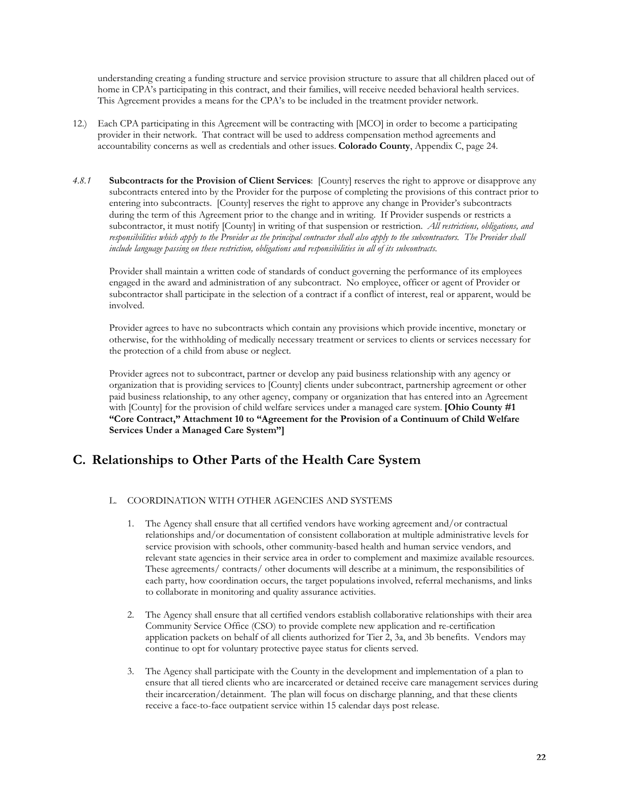understanding creating a funding structure and service provision structure to assure that all children placed out of home in CPA's participating in this contract, and their families, will receive needed behavioral health services. This Agreement provides a means for the CPA's to be included in the treatment provider network.

- 12.) Each CPA participating in this Agreement will be contracting with [MCO] in order to become a participating provider in their network. That contract will be used to address compensation method agreements and accountability concerns as well as credentials and other issues. **Colorado County**, Appendix C, page 24.
- *4.8.1* **Subcontracts for the Provision of Client Services**: [County] reserves the right to approve or disapprove any subcontracts entered into by the Provider for the purpose of completing the provisions of this contract prior to entering into subcontracts. [County] reserves the right to approve any change in Provider's subcontracts during the term of this Agreement prior to the change and in writing. If Provider suspends or restricts a subcontractor, it must notify [County] in writing of that suspension or restriction. *All restrictions, obligations, and responsibilities which apply to the Provider as the principal contractor shall also apply to the subcontractors. The Provider shall include language passing on these restriction, obligations and responsibilities in all of its subcontracts.*

Provider shall maintain a written code of standards of conduct governing the performance of its employees engaged in the award and administration of any subcontract. No employee, officer or agent of Provider or subcontractor shall participate in the selection of a contract if a conflict of interest, real or apparent, would be involved.

Provider agrees to have no subcontracts which contain any provisions which provide incentive, monetary or otherwise, for the withholding of medically necessary treatment or services to clients or services necessary for the protection of a child from abuse or neglect.

Provider agrees not to subcontract, partner or develop any paid business relationship with any agency or organization that is providing services to [County] clients under subcontract, partnership agreement or other paid business relationship, to any other agency, company or organization that has entered into an Agreement with [County] for the provision of child welfare services under a managed care system. **[Ohio County #1 "Core Contract," Attachment 10 to "Agreement for the Provision of a Continuum of Child Welfare Services Under a Managed Care System"]**

## **C. Relationships to Other Parts of the Health Care System**

#### L. COORDINATION WITH OTHER AGENCIES AND SYSTEMS

- 1. The Agency shall ensure that all certified vendors have working agreement and/or contractual relationships and/or documentation of consistent collaboration at multiple administrative levels for service provision with schools, other community-based health and human service vendors, and relevant state agencies in their service area in order to complement and maximize available resources. These agreements/ contracts/ other documents will describe at a minimum, the responsibilities of each party, how coordination occurs, the target populations involved, referral mechanisms, and links to collaborate in monitoring and quality assurance activities.
- 2. The Agency shall ensure that all certified vendors establish collaborative relationships with their area Community Service Office (CSO) to provide complete new application and re-certification application packets on behalf of all clients authorized for Tier 2, 3a, and 3b benefits. Vendors may continue to opt for voluntary protective payee status for clients served.
- 3. The Agency shall participate with the County in the development and implementation of a plan to ensure that all tiered clients who are incarcerated or detained receive care management services during their incarceration/detainment. The plan will focus on discharge planning, and that these clients receive a face-to-face outpatient service within 15 calendar days post release.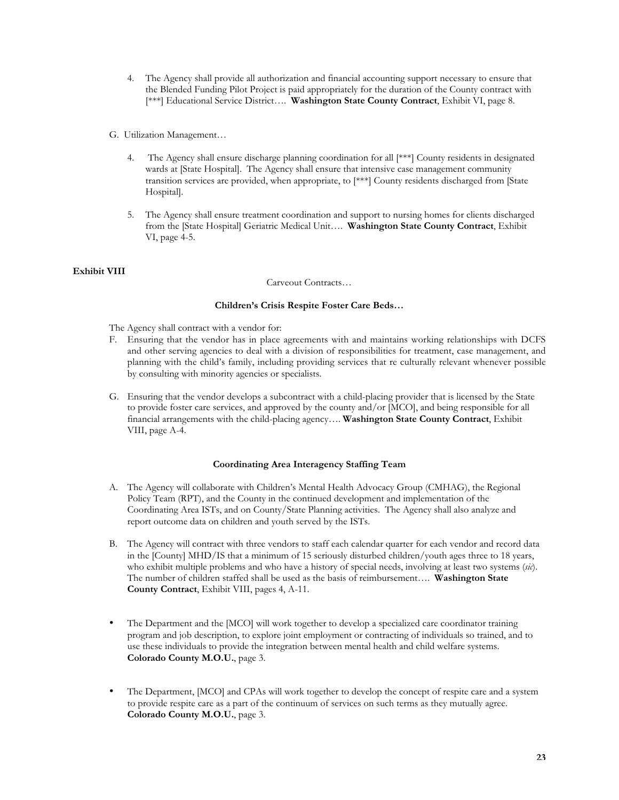- 4. The Agency shall provide all authorization and financial accounting support necessary to ensure that the Blended Funding Pilot Project is paid appropriately for the duration of the County contract with [\*\*\*] Educational Service District…. **Washington State County Contract**, Exhibit VI, page 8.
- G. Utilization Management…
	- 4. The Agency shall ensure discharge planning coordination for all [\*\*\*] County residents in designated wards at [State Hospital]. The Agency shall ensure that intensive case management community transition services are provided, when appropriate, to [\*\*\*] County residents discharged from [State Hospital].
	- 5. The Agency shall ensure treatment coordination and support to nursing homes for clients discharged from the [State Hospital] Geriatric Medical Unit…. **Washington State County Contract**, Exhibit VI, page 4-5.

#### **Exhibit VIII**

#### Carveout Contracts…

#### **Children's Crisis Respite Foster Care Beds…**

The Agency shall contract with a vendor for:

- F. Ensuring that the vendor has in place agreements with and maintains working relationships with DCFS and other serving agencies to deal with a division of responsibilities for treatment, case management, and planning with the child's family, including providing services that re culturally relevant whenever possible by consulting with minority agencies or specialists.
- G. Ensuring that the vendor develops a subcontract with a child-placing provider that is licensed by the State to provide foster care services, and approved by the county and/or [MCO], and being responsible for all financial arrangements with the child-placing agency…. **Washington State County Contract**, Exhibit VIII, page A-4.

#### **Coordinating Area Interagency Staffing Team**

- A. The Agency will collaborate with Children's Mental Health Advocacy Group (CMHAG), the Regional Policy Team (RPT), and the County in the continued development and implementation of the Coordinating Area ISTs, and on County/State Planning activities. The Agency shall also analyze and report outcome data on children and youth served by the ISTs.
- B. The Agency will contract with three vendors to staff each calendar quarter for each vendor and record data in the [County] MHD/IS that a minimum of 15 seriously disturbed children/youth ages three to 18 years, who exhibit multiple problems and who have a history of special needs, involving at least two systems (*sic*). The number of children staffed shall be used as the basis of reimbursement…. **Washington State County Contract**, Exhibit VIII, pages 4, A-11.
- The Department and the [MCO] will work together to develop a specialized care coordinator training program and job description, to explore joint employment or contracting of individuals so trained, and to use these individuals to provide the integration between mental health and child welfare systems. **Colorado County M.O.U.**, page 3.
- The Department, [MCO] and CPAs will work together to develop the concept of respite care and a system to provide respite care as a part of the continuum of services on such terms as they mutually agree. **Colorado County M.O.U.**, page 3.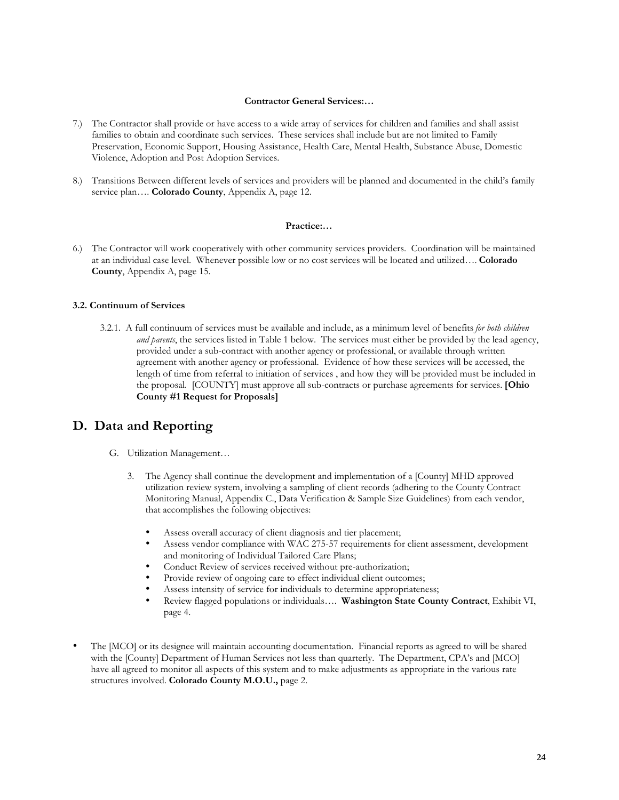#### **Contractor General Services:…**

- 7.) The Contractor shall provide or have access to a wide array of services for children and families and shall assist families to obtain and coordinate such services. These services shall include but are not limited to Family Preservation, Economic Support, Housing Assistance, Health Care, Mental Health, Substance Abuse, Domestic Violence, Adoption and Post Adoption Services.
- 8.) Transitions Between different levels of services and providers will be planned and documented in the child's family service plan…. **Colorado County**, Appendix A, page 12.

#### **Practice:…**

6.) The Contractor will work cooperatively with other community services providers. Coordination will be maintained at an individual case level. Whenever possible low or no cost services will be located and utilized…. **Colorado County**, Appendix A, page 15.

#### **3.2. Continuum of Services**

3.2.1. A full continuum of services must be available and include, as a minimum level of benefits *for both children and parents*, the services listed in Table 1 below. The services must either be provided by the lead agency, provided under a sub-contract with another agency or professional, or available through written agreement with another agency or professional. Evidence of how these services will be accessed, the length of time from referral to initiation of services , and how they will be provided must be included in the proposal. [COUNTY] must approve all sub-contracts or purchase agreements for services. **[Ohio County #1 Request for Proposals]**

## **D. Data and Reporting**

- G. Utilization Management…
	- 3. The Agency shall continue the development and implementation of a [County] MHD approved utilization review system, involving a sampling of client records (adhering to the County Contract Monitoring Manual, Appendix C., Data Verification & Sample Size Guidelines) from each vendor, that accomplishes the following objectives:
		- Assess overall accuracy of client diagnosis and tier placement;
		- Assess vendor compliance with WAC 275-57 requirements for client assessment, development and monitoring of Individual Tailored Care Plans;
		- Conduct Review of services received without pre-authorization;
		- Provide review of ongoing care to effect individual client outcomes;
		- Assess intensity of service for individuals to determine appropriateness;
		- Review flagged populations or individuals…. **Washington State County Contract**, Exhibit VI, page 4.
- The [MCO] or its designee will maintain accounting documentation. Financial reports as agreed to will be shared with the [County] Department of Human Services not less than quarterly. The Department, CPA's and [MCO] have all agreed to monitor all aspects of this system and to make adjustments as appropriate in the various rate structures involved. **Colorado County M.O.U.,** page 2.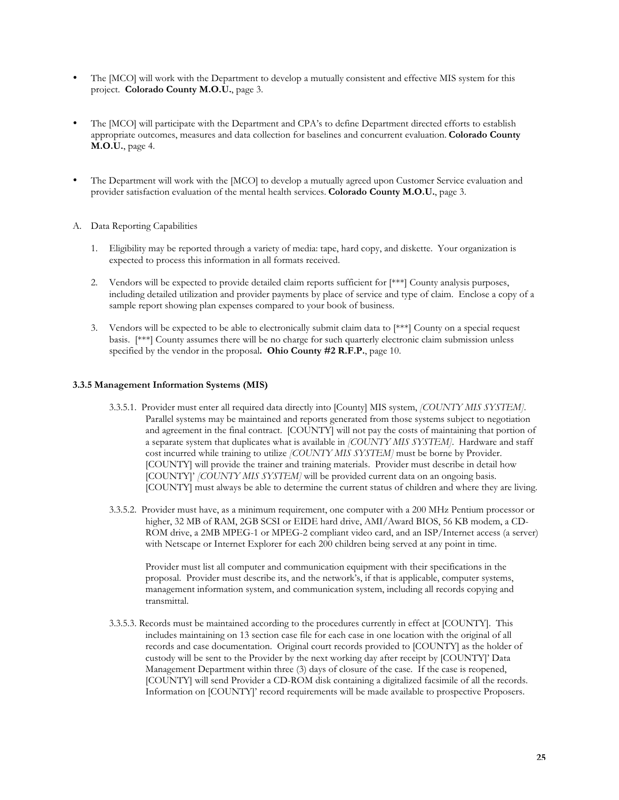- The [MCO] will work with the Department to develop a mutually consistent and effective MIS system for this project. **Colorado County M.O.U.**, page 3.
- The [MCO] will participate with the Department and CPA's to define Department directed efforts to establish appropriate outcomes, measures and data collection for baselines and concurrent evaluation. **Colorado County M.O.U.**, page 4.
- The Department will work with the [MCO] to develop a mutually agreed upon Customer Service evaluation and provider satisfaction evaluation of the mental health services. **Colorado County M.O.U.**, page 3.
- A. Data Reporting Capabilities
	- 1. Eligibility may be reported through a variety of media: tape, hard copy, and diskette. Your organization is expected to process this information in all formats received.
	- 2. Vendors will be expected to provide detailed claim reports sufficient for [\*\*\*] County analysis purposes, including detailed utilization and provider payments by place of service and type of claim. Enclose a copy of a sample report showing plan expenses compared to your book of business.
	- 3. Vendors will be expected to be able to electronically submit claim data to  $[***]$  County on a special request basis. [\*\*\*] County assumes there will be no charge for such quarterly electronic claim submission unless specified by the vendor in the proposal**. Ohio County #2 R.F.P.**, page 10.

#### **3.3.5 Management Information Systems (MIS)**

- 3.3.5.1. Provider must enter all required data directly into [County] MIS system, *[COUNTY MIS SYSTEM]*. Parallel systems may be maintained and reports generated from those systems subject to negotiation and agreement in the final contract. [COUNTY] will not pay the costs of maintaining that portion of a separate system that duplicates what is available in *[COUNTY MIS SYSTEM]*. Hardware and staff cost incurred while training to utilize *[COUNTY MIS SYSTEM]* must be borne by Provider. [COUNTY] will provide the trainer and training materials. Provider must describe in detail how [COUNTY]' *[COUNTY MIS SYSTEM]* will be provided current data on an ongoing basis. [COUNTY] must always be able to determine the current status of children and where they are living.
- 3.3.5.2. Provider must have, as a minimum requirement, one computer with a 200 MHz Pentium processor or higher, 32 MB of RAM, 2GB SCSI or EIDE hard drive, AMI/Award BIOS, 56 KB modem, a CD-ROM drive, a 2MB MPEG-1 or MPEG-2 compliant video card, and an ISP/Internet access (a server) with Netscape or Internet Explorer for each 200 children being served at any point in time.

Provider must list all computer and communication equipment with their specifications in the proposal. Provider must describe its, and the network's, if that is applicable, computer systems, management information system, and communication system, including all records copying and transmittal.

3.3.5.3. Records must be maintained according to the procedures currently in effect at [COUNTY]. This includes maintaining on 13 section case file for each case in one location with the original of all records and case documentation. Original court records provided to [COUNTY] as the holder of custody will be sent to the Provider by the next working day after receipt by [COUNTY]' Data Management Department within three (3) days of closure of the case. If the case is reopened, [COUNTY] will send Provider a CD-ROM disk containing a digitalized facsimile of all the records. Information on [COUNTY]' record requirements will be made available to prospective Proposers.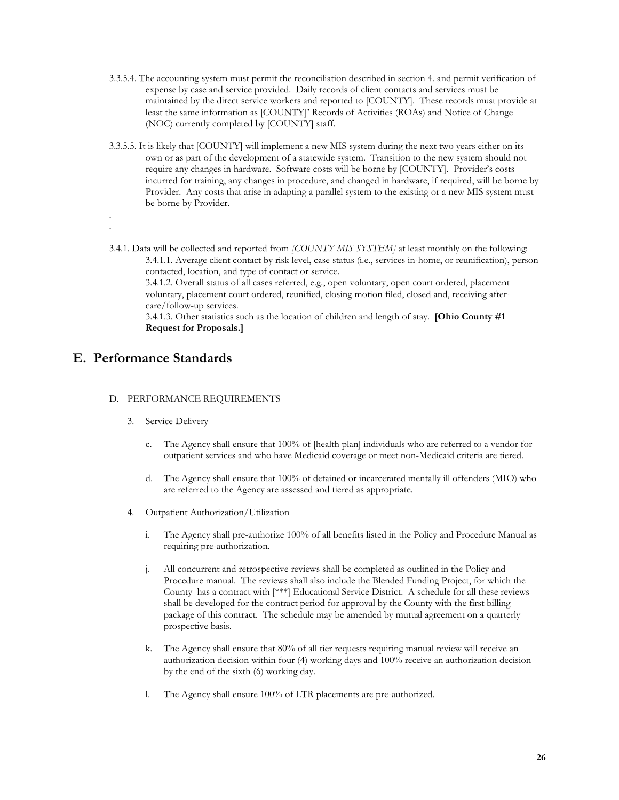- 3.3.5.4. The accounting system must permit the reconciliation described in section 4. and permit verification of expense by case and service provided. Daily records of client contacts and services must be maintained by the direct service workers and reported to [COUNTY]. These records must provide at least the same information as [COUNTY]' Records of Activities (ROAs) and Notice of Change (NOC) currently completed by [COUNTY] staff.
- 3.3.5.5. It is likely that [COUNTY] will implement a new MIS system during the next two years either on its own or as part of the development of a statewide system. Transition to the new system should not require any changes in hardware. Software costs will be borne by [COUNTY]. Provider's costs incurred for training, any changes in procedure, and changed in hardware, if required, will be borne by Provider. Any costs that arise in adapting a parallel system to the existing or a new MIS system must be borne by Provider.
- 3.4.1. Data will be collected and reported from *[COUNTY MIS SYSTEM]* at least monthly on the following: 3.4.1.1. Average client contact by risk level, case status (i.e., services in-home, or reunification), person contacted, location, and type of contact or service.

3.4.1.2. Overall status of all cases referred, e.g., open voluntary, open court ordered, placement voluntary, placement court ordered, reunified, closing motion filed, closed and, receiving aftercare/follow-up services.

3.4.1.3. Other statistics such as the location of children and length of stay. **[Ohio County #1 Request for Proposals.]**

## **E. Performance Standards**

. .

- D. PERFORMANCE REQUIREMENTS
	- 3. Service Delivery
		- c. The Agency shall ensure that 100% of [health plan] individuals who are referred to a vendor for outpatient services and who have Medicaid coverage or meet non-Medicaid criteria are tiered.
		- d. The Agency shall ensure that 100% of detained or incarcerated mentally ill offenders (MIO) who are referred to the Agency are assessed and tiered as appropriate.
	- 4. Outpatient Authorization/Utilization
		- i. The Agency shall pre-authorize 100% of all benefits listed in the Policy and Procedure Manual as requiring pre-authorization.
		- j. All concurrent and retrospective reviews shall be completed as outlined in the Policy and Procedure manual. The reviews shall also include the Blended Funding Project, for which the County has a contract with [\*\*\*] Educational Service District. A schedule for all these reviews shall be developed for the contract period for approval by the County with the first billing package of this contract. The schedule may be amended by mutual agreement on a quarterly prospective basis.
		- k. The Agency shall ensure that 80% of all tier requests requiring manual review will receive an authorization decision within four (4) working days and 100% receive an authorization decision by the end of the sixth (6) working day.
		- l. The Agency shall ensure 100% of LTR placements are pre-authorized.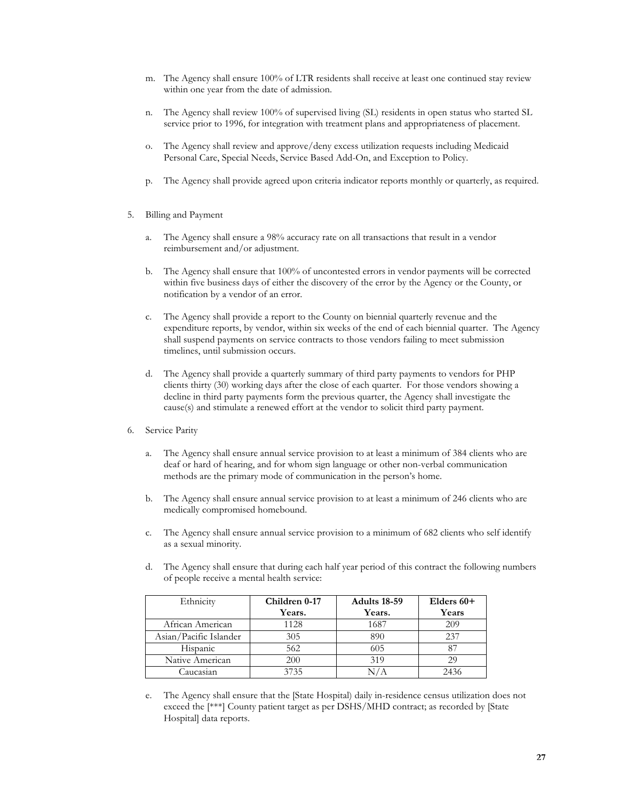- m. The Agency shall ensure 100% of LTR residents shall receive at least one continued stay review within one year from the date of admission.
- n. The Agency shall review 100% of supervised living (SL) residents in open status who started SL service prior to 1996, for integration with treatment plans and appropriateness of placement.
- o. The Agency shall review and approve/deny excess utilization requests including Medicaid Personal Care, Special Needs, Service Based Add-On, and Exception to Policy.
- p. The Agency shall provide agreed upon criteria indicator reports monthly or quarterly, as required.
- 5. Billing and Payment
	- a. The Agency shall ensure a 98% accuracy rate on all transactions that result in a vendor reimbursement and/or adjustment.
	- b. The Agency shall ensure that 100% of uncontested errors in vendor payments will be corrected within five business days of either the discovery of the error by the Agency or the County, or notification by a vendor of an error.
	- c. The Agency shall provide a report to the County on biennial quarterly revenue and the expenditure reports, by vendor, within six weeks of the end of each biennial quarter. The Agency shall suspend payments on service contracts to those vendors failing to meet submission timelines, until submission occurs.
	- d. The Agency shall provide a quarterly summary of third party payments to vendors for PHP clients thirty (30) working days after the close of each quarter. For those vendors showing a decline in third party payments form the previous quarter, the Agency shall investigate the cause(s) and stimulate a renewed effort at the vendor to solicit third party payment.
- 6. Service Parity
	- a. The Agency shall ensure annual service provision to at least a minimum of 384 clients who are deaf or hard of hearing, and for whom sign language or other non-verbal communication methods are the primary mode of communication in the person's home.
	- b. The Agency shall ensure annual service provision to at least a minimum of 246 clients who are medically compromised homebound.
	- c. The Agency shall ensure annual service provision to a minimum of 682 clients who self identify as a sexual minority.
	- d. The Agency shall ensure that during each half year period of this contract the following numbers of people receive a mental health service:

| Ethnicity              | Children 0-17 | Adults 18-59 | Elders $60+$ |
|------------------------|---------------|--------------|--------------|
|                        | Years.        | Years.       | Years        |
| African American       | 1128          | 1687         | 209          |
| Asian/Pacific Islander | 305           | 890          | 237          |
| Hispanic               | 562           | 605          |              |
| Native American        | 200           | 319          |              |
| Caucasian              | 3735          |              | 2436         |

e. The Agency shall ensure that the [State Hospital) daily in-residence census utilization does not exceed the [\*\*\*] County patient target as per DSHS/MHD contract; as recorded by [State Hospital] data reports.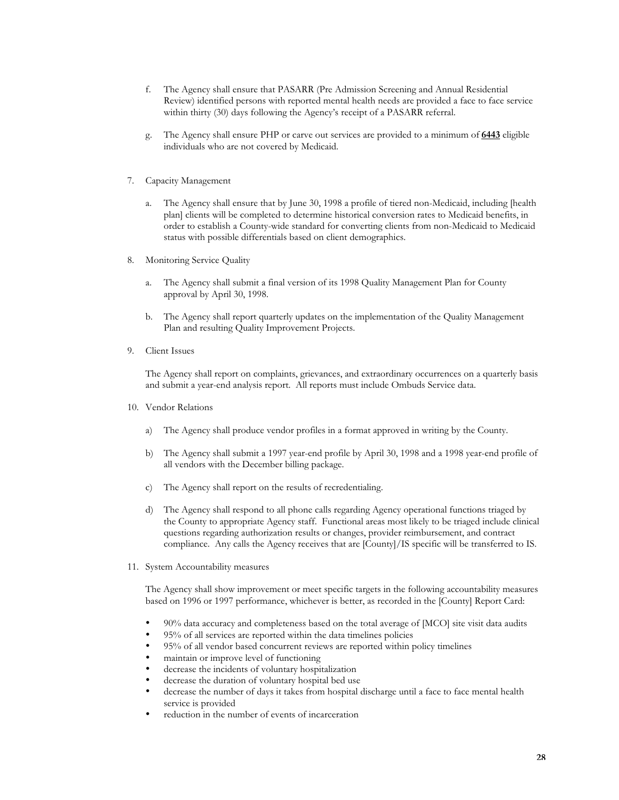- f. The Agency shall ensure that PASARR (Pre Admission Screening and Annual Residential Review) identified persons with reported mental health needs are provided a face to face service within thirty (30) days following the Agency's receipt of a PASARR referral.
- g. The Agency shall ensure PHP or carve out services are provided to a minimum of **6443** eligible individuals who are not covered by Medicaid.
- 7. Capacity Management
	- a. The Agency shall ensure that by June 30, 1998 a profile of tiered non-Medicaid, including [health plan] clients will be completed to determine historical conversion rates to Medicaid benefits, in order to establish a County-wide standard for converting clients from non-Medicaid to Medicaid status with possible differentials based on client demographics.
- 8. Monitoring Service Quality
	- a. The Agency shall submit a final version of its 1998 Quality Management Plan for County approval by April 30, 1998.
	- b. The Agency shall report quarterly updates on the implementation of the Quality Management Plan and resulting Quality Improvement Projects.
- 9. Client Issues

The Agency shall report on complaints, grievances, and extraordinary occurrences on a quarterly basis and submit a year-end analysis report. All reports must include Ombuds Service data.

- 10. Vendor Relations
	- a) The Agency shall produce vendor profiles in a format approved in writing by the County.
	- b) The Agency shall submit a 1997 year-end profile by April 30, 1998 and a 1998 year-end profile of all vendors with the December billing package.
	- c) The Agency shall report on the results of recredentialing.
	- d) The Agency shall respond to all phone calls regarding Agency operational functions triaged by the County to appropriate Agency staff. Functional areas most likely to be triaged include clinical questions regarding authorization results or changes, provider reimbursement, and contract compliance. Any calls the Agency receives that are [County]/IS specific will be transferred to IS.
- 11. System Accountability measures

The Agency shall show improvement or meet specific targets in the following accountability measures based on 1996 or 1997 performance, whichever is better, as recorded in the [County] Report Card:

- 90% data accuracy and completeness based on the total average of [MCO] site visit data audits
- 95% of all services are reported within the data timelines policies
- 95% of all vendor based concurrent reviews are reported within policy timelines
- maintain or improve level of functioning
- decrease the incidents of voluntary hospitalization
- decrease the duration of voluntary hospital bed use
- decrease the number of days it takes from hospital discharge until a face to face mental health service is provided
- reduction in the number of events of incarceration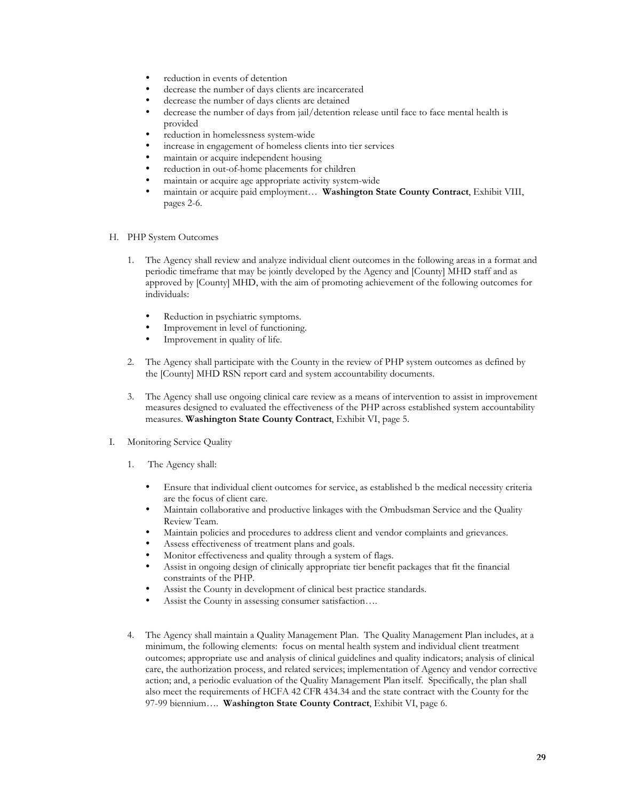- reduction in events of detention
- decrease the number of days clients are incarcerated
- decrease the number of days clients are detained
- decrease the number of days from jail/detention release until face to face mental health is provided
- reduction in homelessness system-wide
- increase in engagement of homeless clients into tier services
- maintain or acquire independent housing
- reduction in out-of-home placements for children
- maintain or acquire age appropriate activity system-wide
- maintain or acquire paid employment… **Washington State County Contract**, Exhibit VIII, pages 2-6.
- H. PHP System Outcomes
	- 1. The Agency shall review and analyze individual client outcomes in the following areas in a format and periodic timeframe that may be jointly developed by the Agency and [County] MHD staff and as approved by [County] MHD, with the aim of promoting achievement of the following outcomes for individuals:
		- Reduction in psychiatric symptoms.
		- Improvement in level of functioning.
		- Improvement in quality of life.
	- 2. The Agency shall participate with the County in the review of PHP system outcomes as defined by the [County] MHD RSN report card and system accountability documents.
	- 3. The Agency shall use ongoing clinical care review as a means of intervention to assist in improvement measures designed to evaluated the effectiveness of the PHP across established system accountability measures. **Washington State County Contract**, Exhibit VI, page 5.
- I. Monitoring Service Quality
	- 1. The Agency shall:
		- Ensure that individual client outcomes for service, as established b the medical necessity criteria are the focus of client care.
		- Maintain collaborative and productive linkages with the Ombudsman Service and the Quality Review Team.
		- Maintain policies and procedures to address client and vendor complaints and grievances.
		- Assess effectiveness of treatment plans and goals.
		- Monitor effectiveness and quality through a system of flags.
		- Assist in ongoing design of clinically appropriate tier benefit packages that fit the financial constraints of the PHP.
		- Assist the County in development of clinical best practice standards.
		- Assist the County in assessing consumer satisfaction....
	- 4. The Agency shall maintain a Quality Management Plan. The Quality Management Plan includes, at a minimum, the following elements: focus on mental health system and individual client treatment outcomes; appropriate use and analysis of clinical guidelines and quality indicators; analysis of clinical care, the authorization process, and related services; implementation of Agency and vendor corrective action; and, a periodic evaluation of the Quality Management Plan itself. Specifically, the plan shall also meet the requirements of HCFA 42 CFR 434.34 and the state contract with the County for the 97-99 biennium…. **Washington State County Contract**, Exhibit VI, page 6.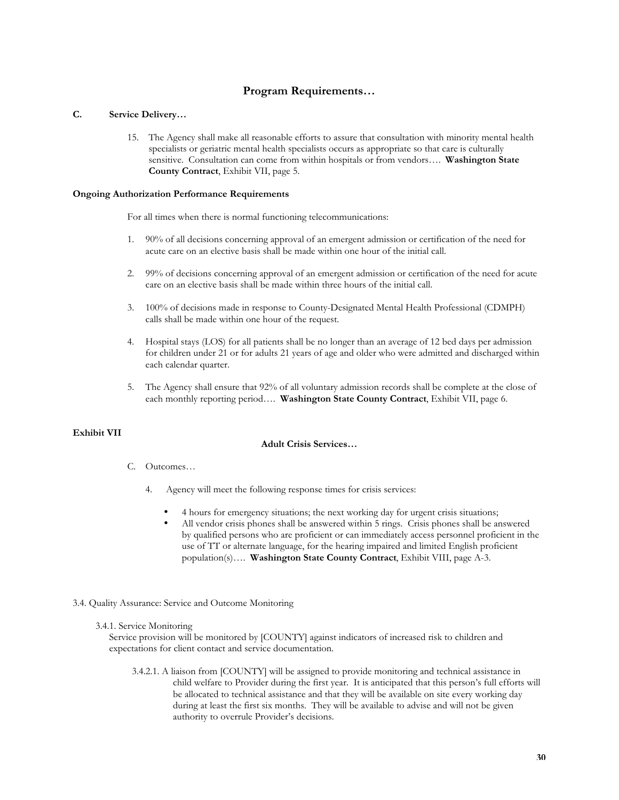### **Program Requirements…**

#### **C. Service Delivery…**

15. The Agency shall make all reasonable efforts to assure that consultation with minority mental health specialists or geriatric mental health specialists occurs as appropriate so that care is culturally sensitive. Consultation can come from within hospitals or from vendors…. **Washington State County Contract**, Exhibit VII, page 5.

#### **Ongoing Authorization Performance Requirements**

For all times when there is normal functioning telecommunications:

- 1. 90% of all decisions concerning approval of an emergent admission or certification of the need for acute care on an elective basis shall be made within one hour of the initial call.
- 2. 99% of decisions concerning approval of an emergent admission or certification of the need for acute care on an elective basis shall be made within three hours of the initial call.
- 3. 100% of decisions made in response to County-Designated Mental Health Professional (CDMPH) calls shall be made within one hour of the request.
- 4. Hospital stays (LOS) for all patients shall be no longer than an average of 12 bed days per admission for children under 21 or for adults 21 years of age and older who were admitted and discharged within each calendar quarter.
- 5. The Agency shall ensure that 92% of all voluntary admission records shall be complete at the close of each monthly reporting period…. **Washington State County Contract**, Exhibit VII, page 6.

#### **Exhibit VII**

#### **Adult Crisis Services…**

- C. Outcomes…
	- 4. Agency will meet the following response times for crisis services:
		- 4 hours for emergency situations; the next working day for urgent crisis situations;
		- All vendor crisis phones shall be answered within 5 rings. Crisis phones shall be answered by qualified persons who are proficient or can immediately access personnel proficient in the use of TT or alternate language, for the hearing impaired and limited English proficient population(s)…. **Washington State County Contract**, Exhibit VIII, page A-3.

#### 3.4. Quality Assurance: Service and Outcome Monitoring

#### 3.4.1. Service Monitoring

Service provision will be monitored by [COUNTY] against indicators of increased risk to children and expectations for client contact and service documentation.

3.4.2.1. A liaison from [COUNTY] will be assigned to provide monitoring and technical assistance in child welfare to Provider during the first year. It is anticipated that this person's full efforts will be allocated to technical assistance and that they will be available on site every working day during at least the first six months. They will be available to advise and will not be given authority to overrule Provider's decisions.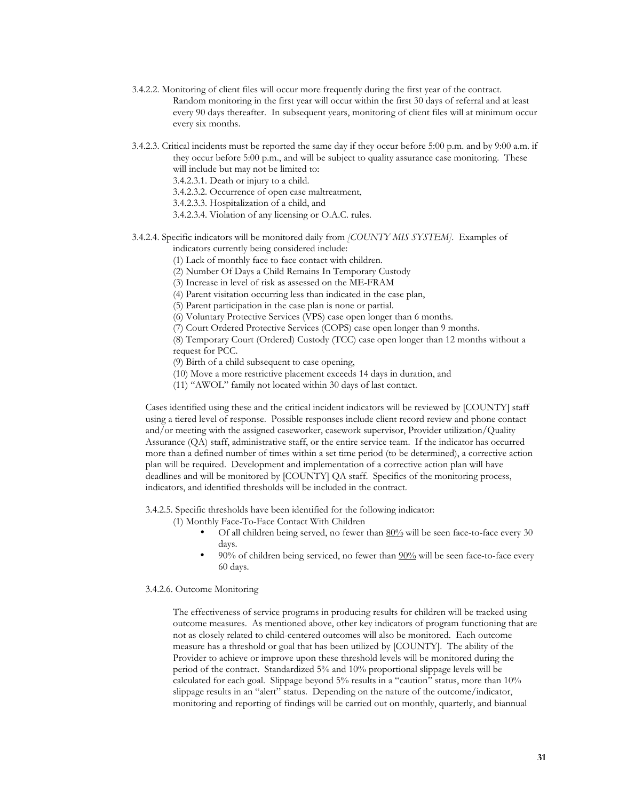- 3.4.2.2. Monitoring of client files will occur more frequently during the first year of the contract. Random monitoring in the first year will occur within the first 30 days of referral and at least every 90 days thereafter. In subsequent years, monitoring of client files will at minimum occur every six months.
- 3.4.2.3. Critical incidents must be reported the same day if they occur before 5:00 p.m. and by 9:00 a.m. if they occur before 5:00 p.m., and will be subject to quality assurance case monitoring. These will include but may not be limited to:

3.4.2.3.1. Death or injury to a child.

3.4.2.3.2. Occurrence of open case maltreatment,

3.4.2.3.3. Hospitalization of a child, and

3.4.2.3.4. Violation of any licensing or O.A.C. rules.

## 3.4.2.4. Specific indicators will be monitored daily from *[COUNTY MIS SYSTEM]*. Examples of

indicators currently being considered include:

(1) Lack of monthly face to face contact with children.

(2) Number Of Days a Child Remains In Temporary Custody

(3) Increase in level of risk as assessed on the ME-FRAM

(4) Parent visitation occurring less than indicated in the case plan,

(5) Parent participation in the case plan is none or partial.

(6) Voluntary Protective Services (VPS) case open longer than 6 months.

(7) Court Ordered Protective Services (COPS) case open longer than 9 months.

(8) Temporary Court (Ordered) Custody (TCC) case open longer than 12 months without a request for PCC.

(9) Birth of a child subsequent to case opening,

(10) Move a more restrictive placement exceeds 14 days in duration, and

(11) "AWOL" family not located within 30 days of last contact.

Cases identified using these and the critical incident indicators will be reviewed by [COUNTY] staff using a tiered level of response. Possible responses include client record review and phone contact and/or meeting with the assigned caseworker, casework supervisor, Provider utilization/Quality Assurance (QA) staff, administrative staff, or the entire service team. If the indicator has occurred more than a defined number of times within a set time period (to be determined), a corrective action plan will be required. Development and implementation of a corrective action plan will have deadlines and will be monitored by [COUNTY] QA staff. Specifics of the monitoring process, indicators, and identified thresholds will be included in the contract.

3.4.2.5. Specific thresholds have been identified for the following indicator:

- (1) Monthly Face-To-Face Contact With Children
	- Of all children being served, no fewer than 80% will be seen face-to-face every 30 days.
	- 90% of children being serviced, no fewer than 90% will be seen face-to-face every 60 days.

3.4.2.6. Outcome Monitoring

The effectiveness of service programs in producing results for children will be tracked using outcome measures. As mentioned above, other key indicators of program functioning that are not as closely related to child-centered outcomes will also be monitored. Each outcome measure has a threshold or goal that has been utilized by [COUNTY]. The ability of the Provider to achieve or improve upon these threshold levels will be monitored during the period of the contract. Standardized 5% and 10% proportional slippage levels will be calculated for each goal. Slippage beyond 5% results in a "caution" status, more than 10% slippage results in an "alert" status. Depending on the nature of the outcome/indicator, monitoring and reporting of findings will be carried out on monthly, quarterly, and biannual